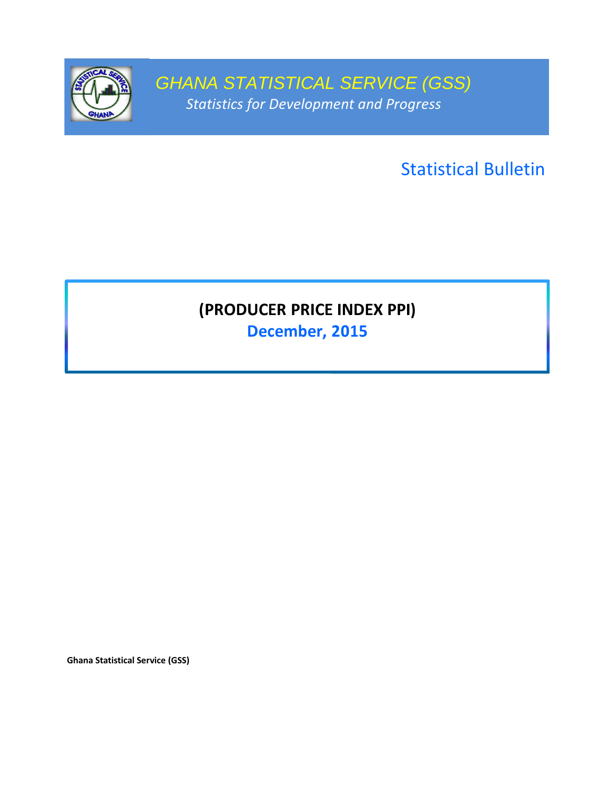

GHANA STATISTICAL SERVICE (GSS) Statistics for Development and Progress

Statistical Bulletin

# (PRODUCER PRICE INDEX PPI)

December, 2015

Ghana Statistical Service (GSS)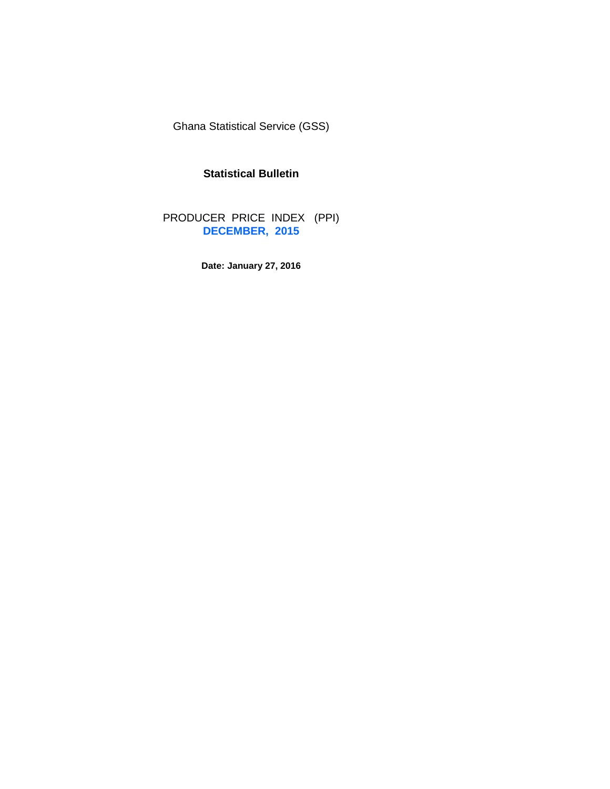Ghana Statistical Service (GSS)

## **Statistical Bulletin**

PRODUCER PRICE INDEX (PPI) **DECEMBER, 2015**

**Date: January 27, 2016**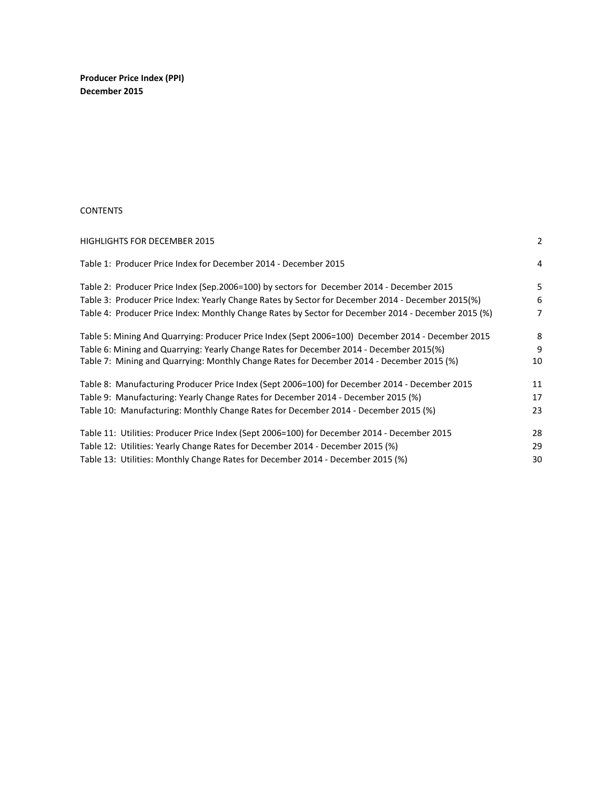Producer Price Index (PPI) December 2015

#### **CONTENTS**

| <b>HIGHLIGHTS FOR DECEMBER 2015</b>                                                                 | 2  |
|-----------------------------------------------------------------------------------------------------|----|
| Table 1: Producer Price Index for December 2014 - December 2015                                     | 4  |
| Table 2: Producer Price Index (Sep.2006=100) by sectors for December 2014 - December 2015           | 5  |
| Table 3: Producer Price Index: Yearly Change Rates by Sector for December 2014 - December 2015(%)   | 6  |
| Table 4: Producer Price Index: Monthly Change Rates by Sector for December 2014 - December 2015 (%) | 7  |
| Table 5: Mining And Quarrying: Producer Price Index (Sept 2006=100) December 2014 - December 2015   | 8  |
| Table 6: Mining and Quarrying: Yearly Change Rates for December 2014 - December 2015(%)             | 9  |
| Table 7: Mining and Quarrying: Monthly Change Rates for December 2014 - December 2015 (%)           | 10 |
| Table 8: Manufacturing Producer Price Index (Sept 2006=100) for December 2014 - December 2015       | 11 |
| Table 9: Manufacturing: Yearly Change Rates for December 2014 - December 2015 (%)                   | 17 |
| Table 10: Manufacturing: Monthly Change Rates for December 2014 - December 2015 (%)                 | 23 |
| Table 11: Utilities: Producer Price Index (Sept 2006=100) for December 2014 - December 2015         | 28 |
| Table 12: Utilities: Yearly Change Rates for December 2014 - December 2015 (%)                      | 29 |
| Table 13: Utilities: Monthly Change Rates for December 2014 - December 2015 (%)                     | 30 |
|                                                                                                     |    |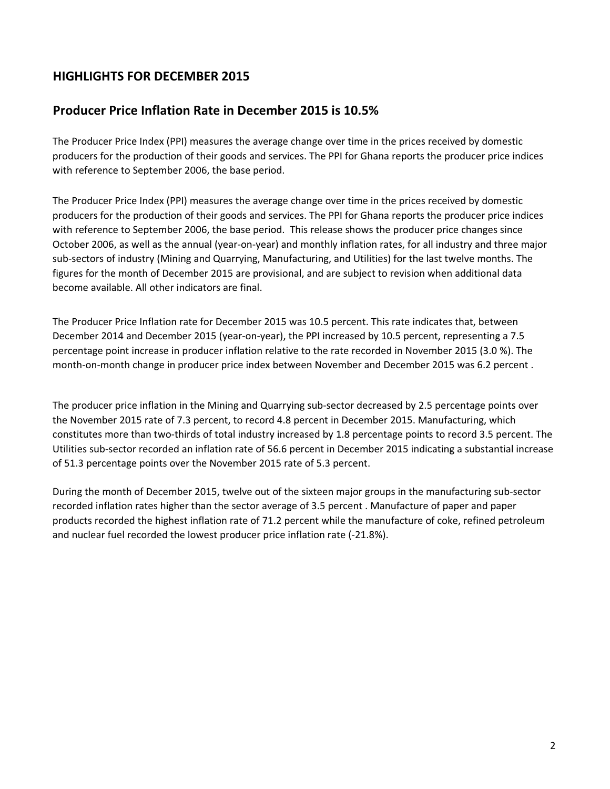# HIGHLIGHTS FOR DECEMBER 2015

# Producer Price Inflation Rate in December 2015 is 10.5%

The Producer Price Index (PPI) measures the average change over time in the prices received by domestic producers for the production of their goods and services. The PPI for Ghana reports the producer price indices with reference to September 2006, the base period.

The Producer Price Index (PPI) measures the average change over time in the prices received by domestic producers for the production of their goods and services. The PPI for Ghana reports the producer price indices with reference to September 2006, the base period. This release shows the producer price changes since October 2006, as well as the annual (year-on-year) and monthly inflation rates, for all industry and three major sub-sectors of industry (Mining and Quarrying, Manufacturing, and Utilities) for the last twelve months. The figures for the month of December 2015 are provisional, and are subject to revision when additional data become available. All other indicators are final.

The Producer Price Inflation rate for December 2015 was 10.5 percent. This rate indicates that, between December 2014 and December 2015 (year-on-year), the PPI increased by 10.5 percent, representing a 7.5 percentage point increase in producer inflation relative to the rate recorded in November 2015 (3.0 %). The month-on-month change in producer price index between November and December 2015 was 6.2 percent .

The producer price inflation in the Mining and Quarrying sub-sector decreased by 2.5 percentage points over the November 2015 rate of 7.3 percent, to record 4.8 percent in December 2015. Manufacturing, which constitutes more than two-thirds of total industry increased by 1.8 percentage points to record 3.5 percent. The Utilities sub-sector recorded an inflation rate of 56.6 percent in December 2015 indicating a substantial increase of 51.3 percentage points over the November 2015 rate of 5.3 percent.

During the month of December 2015, twelve out of the sixteen major groups in the manufacturing sub-sector recorded inflation rates higher than the sector average of 3.5 percent . Manufacture of paper and paper products recorded the highest inflation rate of 71.2 percent while the manufacture of coke, refined petroleum and nuclear fuel recorded the lowest producer price inflation rate (-21.8%).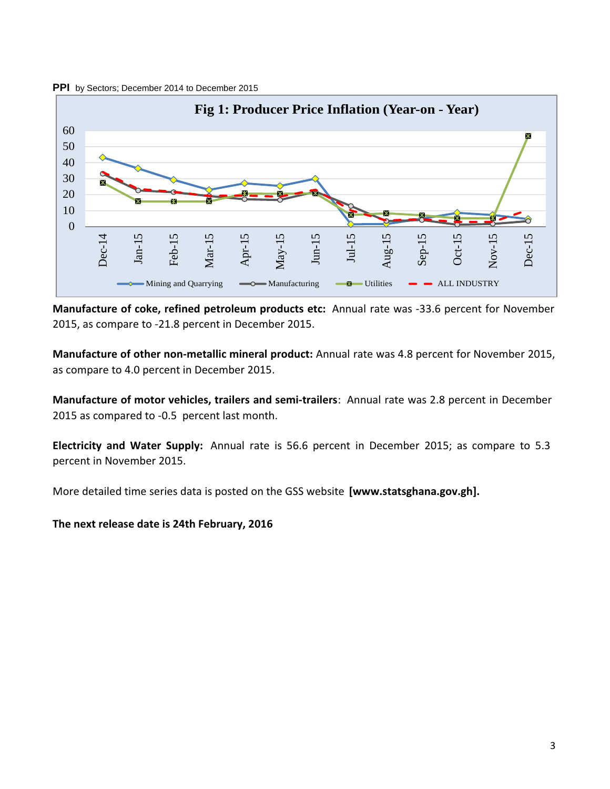



Manufacture of coke, refined petroleum products etc: Annual rate was -33.6 percent for November 2015, as compare to -21.8 percent in December 2015.

Manufacture of other non-metallic mineral product: Annual rate was 4.8 percent for November 2015, as compare to 4.0 percent in December 2015.

Manufacture of motor vehicles, trailers and semi-trailers: Annual rate was 2.8 percent in December 2015 as compared to -0.5 percent last month.

Electricity and Water Supply: Annual rate is 56.6 percent in December 2015; as compare to 5.3 percent in November 2015.

More detailed time series data is posted on the GSS website [www.statsghana.gov.gh].

The next release date is 24th February, 2016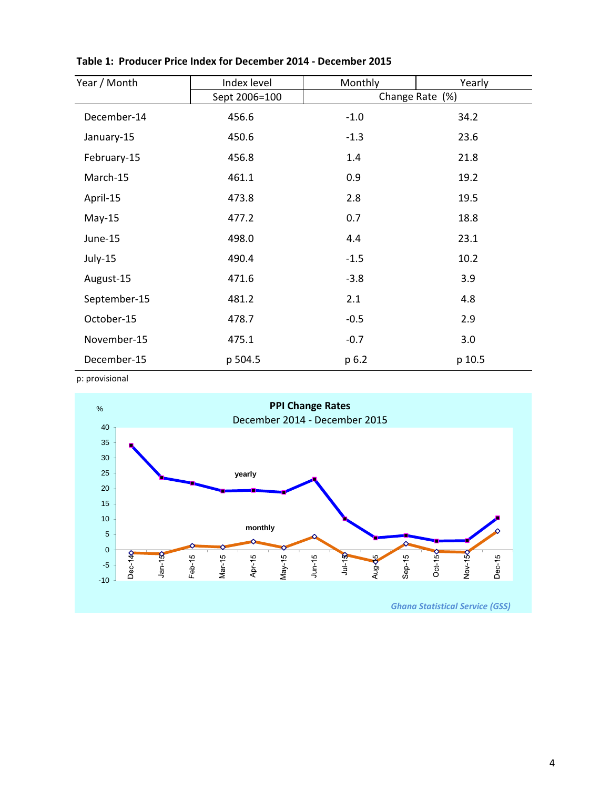| Year / Month | Index level   | Monthly | Yearly          |
|--------------|---------------|---------|-----------------|
|              | Sept 2006=100 |         | Change Rate (%) |
| December-14  | 456.6         | $-1.0$  | 34.2            |
| January-15   | 450.6         | $-1.3$  | 23.6            |
| February-15  | 456.8         | 1.4     | 21.8            |
| March-15     | 461.1         | 0.9     | 19.2            |
| April-15     | 473.8         | 2.8     | 19.5            |
| $May-15$     | 477.2         | 0.7     | 18.8            |
| June-15      | 498.0         | 4.4     | 23.1            |
| July-15      | 490.4         | $-1.5$  | 10.2            |
| August-15    | 471.6         | $-3.8$  | 3.9             |
| September-15 | 481.2         | 2.1     | 4.8             |
| October-15   | 478.7         | $-0.5$  | 2.9             |
| November-15  | 475.1         | $-0.7$  | 3.0             |
| December-15  | p 504.5       | p 6.2   | p 10.5          |

Table 1: Producer Price Index for December 2014 - December 2015

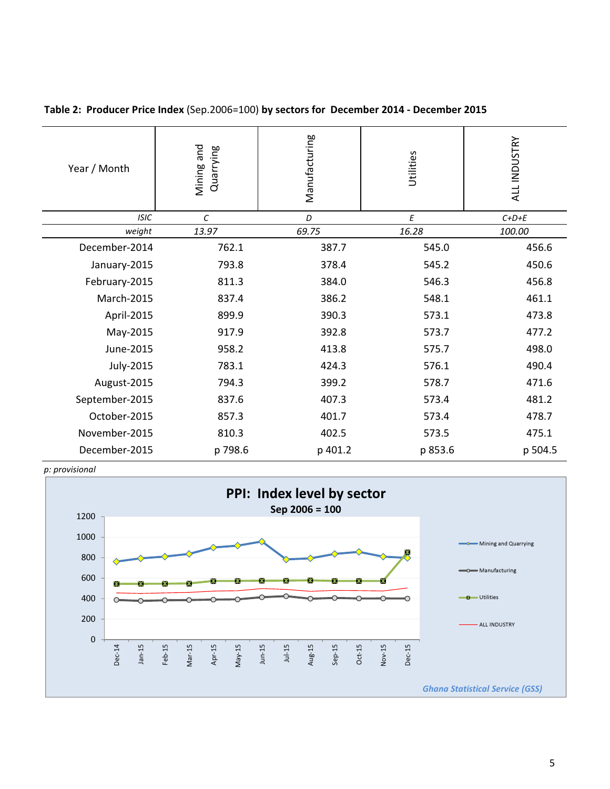| Year / Month   | Mining and<br>Quarrying | Manufacturing |         | ALL INDUSTRY |
|----------------|-------------------------|---------------|---------|--------------|
| <b>ISIC</b>    | $\mathcal{C}$           | D             | E       | $C+D+E$      |
| weight         | 13.97                   | 69.75         | 16.28   | 100.00       |
| December-2014  | 762.1                   | 387.7         | 545.0   | 456.6        |
| January-2015   | 793.8                   | 378.4         | 545.2   | 450.6        |
| February-2015  | 811.3                   | 384.0         | 546.3   | 456.8        |
| March-2015     | 837.4                   | 386.2         | 548.1   | 461.1        |
| April-2015     | 899.9                   | 390.3         | 573.1   | 473.8        |
| May-2015       | 917.9                   | 392.8         | 573.7   | 477.2        |
| June-2015      | 958.2                   | 413.8         | 575.7   | 498.0        |
| July-2015      | 783.1                   | 424.3         | 576.1   | 490.4        |
| August-2015    | 794.3                   | 399.2         | 578.7   | 471.6        |
| September-2015 | 837.6                   | 407.3         | 573.4   | 481.2        |
| October-2015   | 857.3                   | 401.7         | 573.4   | 478.7        |
| November-2015  | 810.3                   | 402.5         | 573.5   | 475.1        |
| December-2015  | p 798.6                 | p 401.2       | p 853.6 | p 504.5      |

Table 2: Producer Price Index (Sep.2006=100) by sectors for December 2014 - December 2015



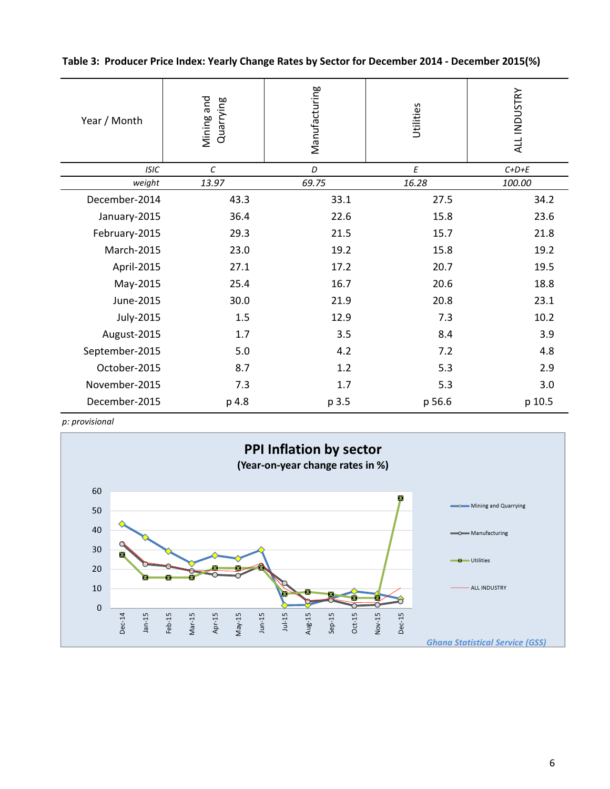Table 3: Producer Price Index: Yearly Change Rates by Sector for December 2014 - December 2015(%)

| Year / Month   | Mining and<br>Quarrying |       | Utilities | ALL INDUSTRY |  |
|----------------|-------------------------|-------|-----------|--------------|--|
| <b>ISIC</b>    | $\cal C$                | D     | E         | $C+D+E$      |  |
| weight         | 13.97                   | 69.75 | 16.28     | 100.00       |  |
| December-2014  | 43.3                    | 33.1  | 27.5      | 34.2         |  |
| January-2015   | 36.4                    | 22.6  | 15.8      | 23.6         |  |
| February-2015  | 29.3                    | 21.5  | 15.7      | 21.8         |  |
| March-2015     | 23.0                    | 19.2  | 15.8      | 19.2         |  |
| April-2015     | 27.1                    | 17.2  | 20.7      | 19.5         |  |
| May-2015       | 25.4                    | 16.7  | 20.6      | 18.8         |  |
| June-2015      | 30.0                    | 21.9  | 20.8      | 23.1         |  |
| July-2015      | 1.5                     | 12.9  | 7.3       | 10.2         |  |
| August-2015    | 1.7                     | 3.5   | 8.4       | 3.9          |  |
| September-2015 | 5.0                     | 4.2   | 7.2       | 4.8          |  |
| October-2015   | 8.7                     | 1.2   | 5.3       | 2.9          |  |
| November-2015  | 7.3                     | 1.7   | 5.3       | 3.0          |  |
| December-2015  | p 4.8                   | p 3.5 | p 56.6    | p 10.5       |  |

p: provisional

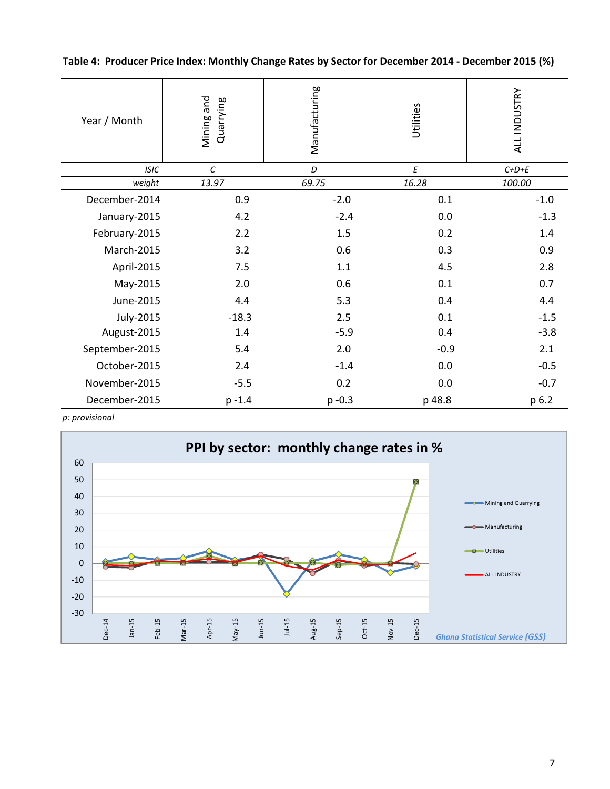Table 4: Producer Price Index: Monthly Change Rates by Sector for December 2014 - December 2015 (%)

| Year / Month   | Mining and<br>Quarrying | Manufacturing | Utilities | ALL INDUSTRY |
|----------------|-------------------------|---------------|-----------|--------------|
| <b>ISIC</b>    | $\cal C$                | D             | E         | $C+D+E$      |
| weight         | 13.97                   | 69.75         | 16.28     | 100.00       |
| December-2014  | 0.9                     | $-2.0$        | 0.1       | $-1.0$       |
| January-2015   | 4.2                     | $-2.4$        | 0.0       | $-1.3$       |
| February-2015  | 2.2                     | 1.5           | 0.2       | 1.4          |
| March-2015     | 3.2                     | 0.6           | 0.3       | 0.9          |
| April-2015     | 7.5                     | 1.1           | 4.5       | 2.8          |
| May-2015       | 2.0                     | 0.6           | 0.1       | 0.7          |
| June-2015      | 4.4                     | 5.3           | 0.4       | 4.4          |
| July-2015      | $-18.3$                 | 2.5           | 0.1       | $-1.5$       |
| August-2015    | 1.4                     | $-5.9$        | 0.4       | $-3.8$       |
| September-2015 | 5.4                     | 2.0           | $-0.9$    | 2.1          |
| October-2015   | 2.4                     | $-1.4$        | 0.0       | $-0.5$       |
| November-2015  | $-5.5$                  | 0.2           | 0.0       | $-0.7$       |
| December-2015  | $p - 1.4$               | $p - 0.3$     | p 48.8    | p 6.2        |

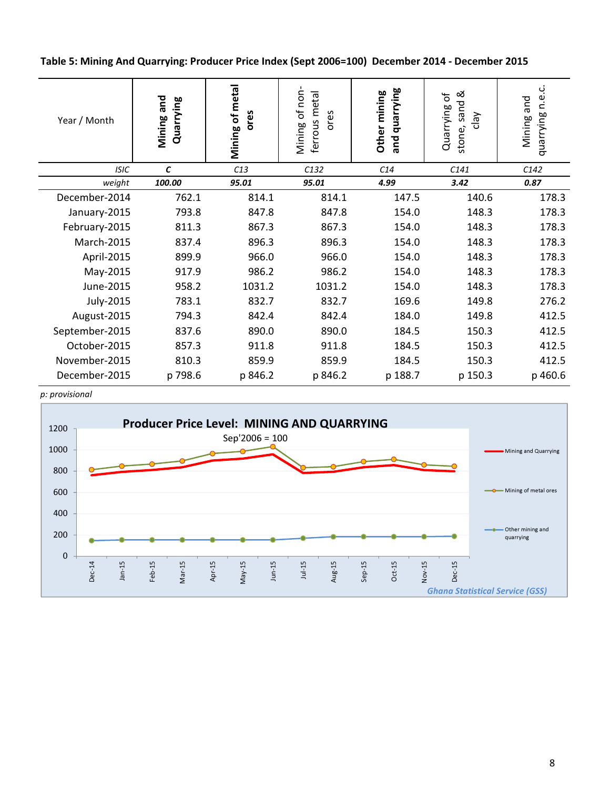Table 5: Mining And Quarrying: Producer Price Index (Sept 2006=100) December 2014 - December 2015

| Year / Month   | Mining and<br>Quarrying | Mining of metal<br>ores | of non<br>ferrous metal<br>ores<br>Mining | and quarrying<br>Other mining | sand &<br>Quarrying of<br>$\sqrt{e}$<br>stone, | ڹ<br>نه<br>ء<br>Mining and<br>quarrying |
|----------------|-------------------------|-------------------------|-------------------------------------------|-------------------------------|------------------------------------------------|-----------------------------------------|
| <b>ISIC</b>    | $\epsilon$              | C13                     | C132                                      | C14                           | C141                                           | C142                                    |
| weight         | 100.00                  | 95.01                   | 95.01                                     | 4.99                          | 3.42                                           | 0.87                                    |
| December-2014  | 762.1                   | 814.1                   | 814.1                                     | 147.5                         | 140.6                                          | 178.3                                   |
| January-2015   | 793.8                   | 847.8                   | 847.8                                     | 154.0                         | 148.3                                          | 178.3                                   |
| February-2015  | 811.3                   | 867.3                   | 867.3                                     | 154.0                         | 148.3                                          | 178.3                                   |
| March-2015     | 837.4                   | 896.3                   | 896.3                                     | 154.0                         | 148.3                                          | 178.3                                   |
| April-2015     | 899.9                   | 966.0                   | 966.0                                     | 154.0                         | 148.3                                          | 178.3                                   |
| May-2015       | 917.9                   | 986.2                   | 986.2                                     | 154.0                         | 148.3                                          | 178.3                                   |
| June-2015      | 958.2                   | 1031.2                  | 1031.2                                    | 154.0                         | 148.3                                          | 178.3                                   |
| July-2015      | 783.1                   | 832.7                   | 832.7                                     | 169.6                         | 149.8                                          | 276.2                                   |
| August-2015    | 794.3                   | 842.4                   | 842.4                                     | 184.0                         | 149.8                                          | 412.5                                   |
| September-2015 | 837.6                   | 890.0                   | 890.0                                     | 184.5                         | 150.3                                          | 412.5                                   |
| October-2015   | 857.3                   | 911.8                   | 911.8                                     | 184.5                         | 150.3                                          | 412.5                                   |
| November-2015  | 810.3                   | 859.9                   | 859.9                                     | 184.5                         | 150.3                                          | 412.5                                   |
| December-2015  | p 798.6                 | p 846.2                 | p 846.2                                   | p 188.7                       | p 150.3                                        | p 460.6                                 |

p: provisional

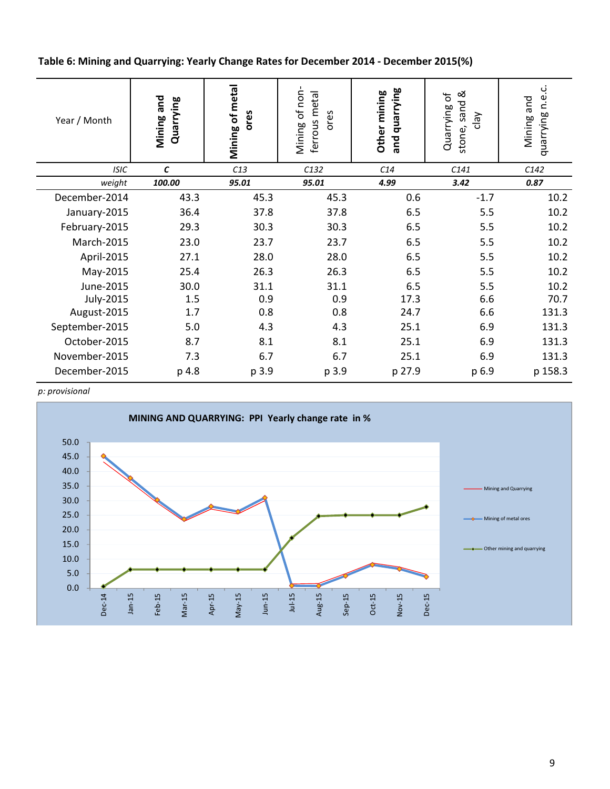Table 6: Mining and Quarrying: Yearly Change Rates for December 2014 - December 2015(%)

| Year / Month   | Mining and<br>Quarrying | Mining of metal<br>ores | of non<br>ferrous metal<br>ores<br>Mining | and quarrying<br>Other mining | sand &<br>Quarrying of<br>$\sqrt{e}$<br>stone, | ڹ<br>quarrying n.e<br>Mining and |
|----------------|-------------------------|-------------------------|-------------------------------------------|-------------------------------|------------------------------------------------|----------------------------------|
| <b>ISIC</b>    | $\mathbf{C}$            | C13                     | C132                                      | C14                           | C141                                           | C142                             |
| weight         | 100.00                  | 95.01                   | 95.01                                     | 4.99                          | 3.42                                           | 0.87                             |
| December-2014  | 43.3                    | 45.3                    | 45.3                                      | 0.6                           | $-1.7$                                         | 10.2                             |
| January-2015   | 36.4                    | 37.8                    | 37.8                                      | 6.5                           | 5.5                                            | 10.2                             |
| February-2015  | 29.3                    | 30.3                    | 30.3                                      | 6.5                           | 5.5                                            | 10.2                             |
| March-2015     | 23.0                    | 23.7                    | 23.7                                      | 6.5                           | 5.5                                            | 10.2                             |
| April-2015     | 27.1                    | 28.0                    | 28.0                                      | 6.5                           | 5.5                                            | 10.2                             |
| May-2015       | 25.4                    | 26.3                    | 26.3                                      | 6.5                           | 5.5                                            | 10.2                             |
| June-2015      | 30.0                    | 31.1                    | 31.1                                      | 6.5                           | 5.5                                            | 10.2                             |
| July-2015      | 1.5                     | 0.9                     | 0.9                                       | 17.3                          | 6.6                                            | 70.7                             |
| August-2015    | 1.7                     | 0.8                     | 0.8                                       | 24.7                          | 6.6                                            | 131.3                            |
| September-2015 | 5.0                     | 4.3                     | 4.3                                       | 25.1                          | 6.9                                            | 131.3                            |
| October-2015   | 8.7                     | 8.1                     | 8.1                                       | 25.1                          | 6.9                                            | 131.3                            |
| November-2015  | 7.3                     | 6.7                     | 6.7                                       | 25.1                          | 6.9                                            | 131.3                            |
| December-2015  | p 4.8                   | p 3.9                   | p 3.9                                     | p 27.9                        | p 6.9                                          | p 158.3                          |

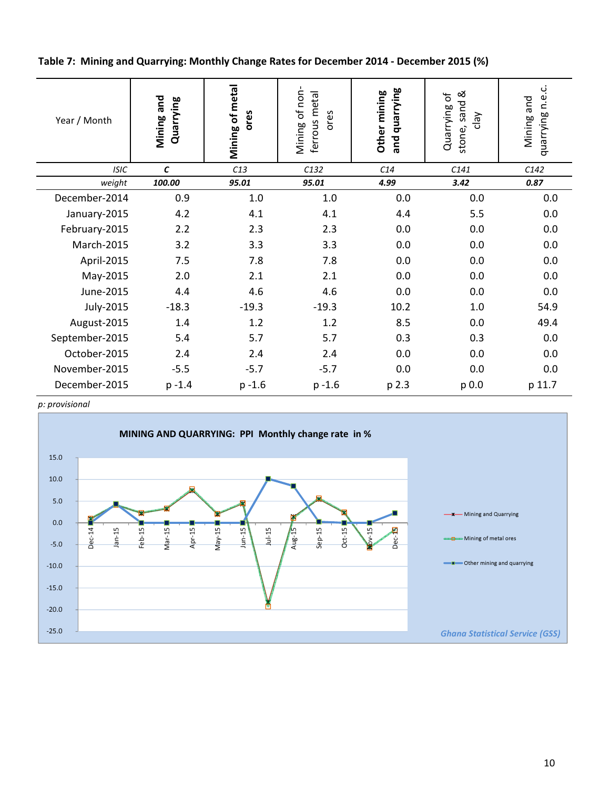Table 7: Mining and Quarrying: Monthly Change Rates for December 2014 - December 2015 (%)

| Year / Month   | Mining and<br>Quarrying | Mining of metal<br>ores | Mining of non<br>ferrous metal<br>ores | and quarrying<br>Other mining | stone, sand &<br>Quarrying of<br>$\sqrt{e}$ | quarrying n.e.c.<br>Mining and |
|----------------|-------------------------|-------------------------|----------------------------------------|-------------------------------|---------------------------------------------|--------------------------------|
| <b>ISIC</b>    | $\pmb{\mathcal{C}}$     | C13                     | C132                                   | C14                           | C141                                        | C142                           |
| weight         | 100.00                  | 95.01                   | 95.01                                  | 4.99                          | 3.42                                        | 0.87                           |
| December-2014  | 0.9                     | 1.0                     | 1.0                                    | 0.0                           | 0.0                                         | 0.0                            |
| January-2015   | 4.2                     | 4.1                     | 4.1                                    | 4.4                           | 5.5                                         | 0.0                            |
| February-2015  | 2.2                     | 2.3                     | 2.3                                    | 0.0                           | 0.0                                         | 0.0                            |
| March-2015     | 3.2                     | 3.3                     | 3.3                                    | 0.0                           | 0.0                                         | 0.0                            |
| April-2015     | 7.5                     | 7.8                     | 7.8                                    | 0.0                           | 0.0                                         | 0.0                            |
| May-2015       | 2.0                     | 2.1                     | 2.1                                    | 0.0                           | 0.0                                         | 0.0                            |
| June-2015      | 4.4                     | 4.6                     | 4.6                                    | 0.0                           | 0.0                                         | 0.0                            |
| July-2015      | $-18.3$                 | $-19.3$                 | $-19.3$                                | 10.2                          | 1.0                                         | 54.9                           |
| August-2015    | 1.4                     | 1.2                     | 1.2                                    | 8.5                           | 0.0                                         | 49.4                           |
| September-2015 | 5.4                     | 5.7                     | 5.7                                    | 0.3                           | 0.3                                         | 0.0                            |
| October-2015   | 2.4                     | 2.4                     | 2.4                                    | 0.0                           | 0.0                                         | 0.0                            |
| November-2015  | $-5.5$                  | $-5.7$                  | $-5.7$                                 | 0.0                           | 0.0                                         | 0.0                            |
| December-2015  | $p - 1.4$               | $p - 1.6$               | $p - 1.6$                              | p 2.3                         | p 0.0                                       | p 11.7                         |

p: provisional

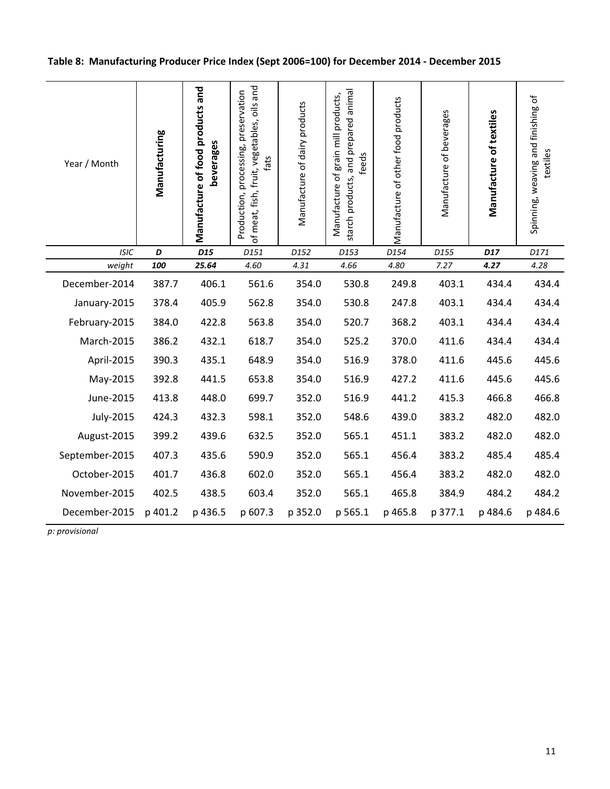| Table 8: Manufacturing Producer Price Index (Sept 2006=100) for December 2014 - December 2015 |
|-----------------------------------------------------------------------------------------------|
|-----------------------------------------------------------------------------------------------|

| Year / Month   | Manufacturing | Manufacture of food products and<br>beverages | of meat, fish, fruit, vegetables, oils and<br>Production, processing, preservation<br>fats | Manufacture of dairy products | starch products, and prepared animal<br>Manufacture of grain mill products,<br>feeds | Manufacture of other food products | Manufacture of beverages | Manufacture of textiles | Spinning, weaving and finishing of<br>textiles |
|----------------|---------------|-----------------------------------------------|--------------------------------------------------------------------------------------------|-------------------------------|--------------------------------------------------------------------------------------|------------------------------------|--------------------------|-------------------------|------------------------------------------------|
| <b>ISIC</b>    | D             | D <sub>15</sub>                               | D151                                                                                       | D152                          | D153                                                                                 | D154                               | D155                     | D17                     | D171                                           |
| weight         | 100           | 25.64                                         | 4.60                                                                                       | 4.31                          | 4.66                                                                                 | 4.80                               | 7.27                     | 4.27                    | 4.28                                           |
| December-2014  | 387.7         | 406.1                                         | 561.6                                                                                      | 354.0                         | 530.8                                                                                | 249.8                              | 403.1                    | 434.4                   | 434.4                                          |
| January-2015   | 378.4         | 405.9                                         | 562.8                                                                                      | 354.0                         | 530.8                                                                                | 247.8                              | 403.1                    | 434.4                   | 434.4                                          |
| February-2015  | 384.0         | 422.8                                         | 563.8                                                                                      | 354.0                         | 520.7                                                                                | 368.2                              | 403.1                    | 434.4                   | 434.4                                          |
| March-2015     | 386.2         | 432.1                                         | 618.7                                                                                      | 354.0                         | 525.2                                                                                | 370.0                              | 411.6                    | 434.4                   | 434.4                                          |
| April-2015     | 390.3         | 435.1                                         | 648.9                                                                                      | 354.0                         | 516.9                                                                                | 378.0                              | 411.6                    | 445.6                   | 445.6                                          |
| May-2015       | 392.8         | 441.5                                         | 653.8                                                                                      | 354.0                         | 516.9                                                                                | 427.2                              | 411.6                    | 445.6                   | 445.6                                          |
| June-2015      | 413.8         | 448.0                                         | 699.7                                                                                      | 352.0                         | 516.9                                                                                | 441.2                              | 415.3                    | 466.8                   | 466.8                                          |
| July-2015      | 424.3         | 432.3                                         | 598.1                                                                                      | 352.0                         | 548.6                                                                                | 439.0                              | 383.2                    | 482.0                   | 482.0                                          |
| August-2015    | 399.2         | 439.6                                         | 632.5                                                                                      | 352.0                         | 565.1                                                                                | 451.1                              | 383.2                    | 482.0                   | 482.0                                          |
| September-2015 | 407.3         | 435.6                                         | 590.9                                                                                      | 352.0                         | 565.1                                                                                | 456.4                              | 383.2                    | 485.4                   | 485.4                                          |
| October-2015   | 401.7         | 436.8                                         | 602.0                                                                                      | 352.0                         | 565.1                                                                                | 456.4                              | 383.2                    | 482.0                   | 482.0                                          |
| November-2015  | 402.5         | 438.5                                         | 603.4                                                                                      | 352.0                         | 565.1                                                                                | 465.8                              | 384.9                    | 484.2                   | 484.2                                          |
| December-2015  | p 401.2       | p 436.5                                       | p 607.3                                                                                    | p 352.0                       | p 565.1                                                                              | p 465.8                            | p 377.1                  | p 484.6                 | p 484.6                                        |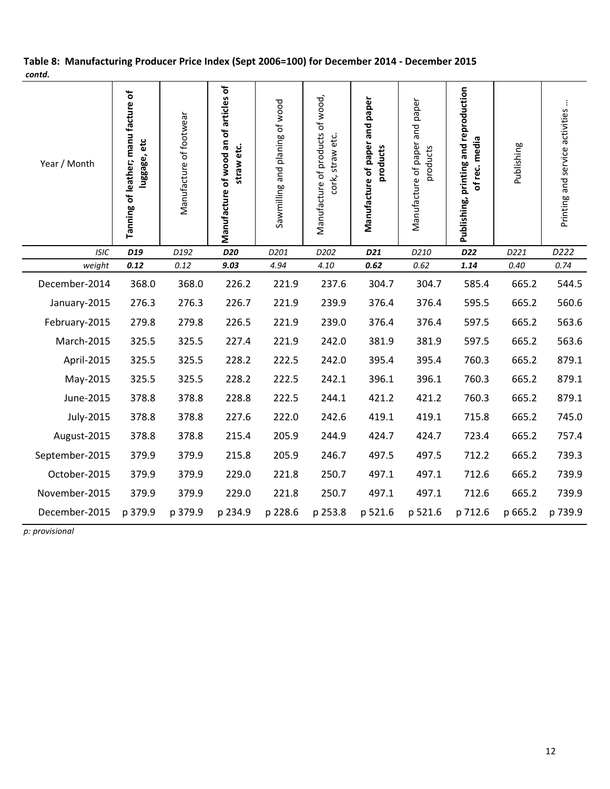| Year / Month   | Tanning of leather; manu facture of<br>luggage, etc | Manufacture of footwear | Manufacture of wood an of articles of<br>straw etc. | Sawmilling and planing of wood | Manufacture of products of wood,<br>cork, straw etc. | and paper<br>Manufacture of paper<br>products | Manufacture of paper and paper<br>products | Publishing, printing and reproduction<br>of rec. media | Publishing | $\vdots$<br>Printing and service activities |
|----------------|-----------------------------------------------------|-------------------------|-----------------------------------------------------|--------------------------------|------------------------------------------------------|-----------------------------------------------|--------------------------------------------|--------------------------------------------------------|------------|---------------------------------------------|
| <b>ISIC</b>    | D <sub>19</sub>                                     | D192                    | D20                                                 | D201                           | D202                                                 | D21                                           | D210                                       | D <sub>22</sub>                                        | D221       | D222                                        |
| weight         | 0.12                                                | 0.12                    | 9.03                                                | 4.94                           | 4.10                                                 | 0.62                                          | 0.62                                       | 1.14                                                   | $0.40\,$   | 0.74                                        |
| December-2014  | 368.0                                               | 368.0                   | 226.2                                               | 221.9                          | 237.6                                                | 304.7                                         | 304.7                                      | 585.4                                                  | 665.2      | 544.5                                       |
| January-2015   | 276.3                                               | 276.3                   | 226.7                                               | 221.9                          | 239.9                                                | 376.4                                         | 376.4                                      | 595.5                                                  | 665.2      | 560.6                                       |
| February-2015  | 279.8                                               | 279.8                   | 226.5                                               | 221.9                          | 239.0                                                | 376.4                                         | 376.4                                      | 597.5                                                  | 665.2      | 563.6                                       |
| March-2015     | 325.5                                               | 325.5                   | 227.4                                               | 221.9                          | 242.0                                                | 381.9                                         | 381.9                                      | 597.5                                                  | 665.2      | 563.6                                       |
| April-2015     | 325.5                                               | 325.5                   | 228.2                                               | 222.5                          | 242.0                                                | 395.4                                         | 395.4                                      | 760.3                                                  | 665.2      | 879.1                                       |
| May-2015       | 325.5                                               | 325.5                   | 228.2                                               | 222.5                          | 242.1                                                | 396.1                                         | 396.1                                      | 760.3                                                  | 665.2      | 879.1                                       |
| June-2015      | 378.8                                               | 378.8                   | 228.8                                               | 222.5                          | 244.1                                                | 421.2                                         | 421.2                                      | 760.3                                                  | 665.2      | 879.1                                       |
| July-2015      | 378.8                                               | 378.8                   | 227.6                                               | 222.0                          | 242.6                                                | 419.1                                         | 419.1                                      | 715.8                                                  | 665.2      | 745.0                                       |
| August-2015    | 378.8                                               | 378.8                   | 215.4                                               | 205.9                          | 244.9                                                | 424.7                                         | 424.7                                      | 723.4                                                  | 665.2      | 757.4                                       |
| September-2015 | 379.9                                               | 379.9                   | 215.8                                               | 205.9                          | 246.7                                                | 497.5                                         | 497.5                                      | 712.2                                                  | 665.2      | 739.3                                       |
| October-2015   | 379.9                                               | 379.9                   | 229.0                                               | 221.8                          | 250.7                                                | 497.1                                         | 497.1                                      | 712.6                                                  | 665.2      | 739.9                                       |
| November-2015  | 379.9                                               | 379.9                   | 229.0                                               | 221.8                          | 250.7                                                | 497.1                                         | 497.1                                      | 712.6                                                  | 665.2      | 739.9                                       |
| December-2015  | p 379.9                                             | p 379.9                 | p 234.9                                             | p 228.6                        | p 253.8                                              | p 521.6                                       | p 521.6                                    | p 712.6                                                | p 665.2    | p 739.9                                     |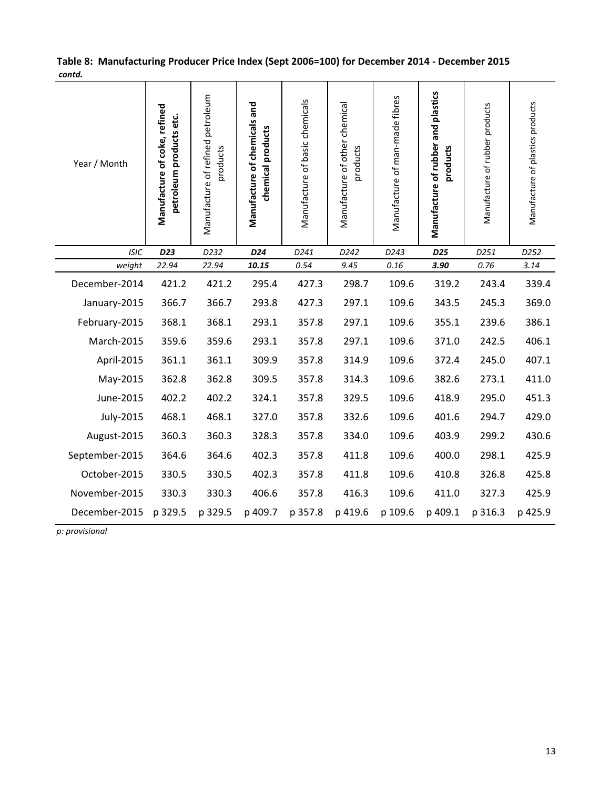| Year / Month   | Manufacture of coke, refined<br>petroleum products etc. | Manufacture of refined petroleum<br>products | Manufacture of chemicals and<br>chemical products | Manufacture of basic chemicals | Manufacture of other chemical<br>products | Manufacture of man-made fibres | Manufacture of rubber and plastics<br>products | Manufacture of rubber products | Manufacture of plastics products |
|----------------|---------------------------------------------------------|----------------------------------------------|---------------------------------------------------|--------------------------------|-------------------------------------------|--------------------------------|------------------------------------------------|--------------------------------|----------------------------------|
| <b>ISIC</b>    | D <sub>23</sub>                                         | D232                                         | D <sub>24</sub>                                   | D241                           | D242                                      | D243                           | D <sub>25</sub>                                | D251                           | D252                             |
| weight         | 22.94                                                   | 22.94                                        | 10.15                                             | 0.54                           | 9.45                                      | 0.16                           | 3.90                                           | 0.76                           | 3.14                             |
| December-2014  | 421.2                                                   | 421.2                                        | 295.4                                             | 427.3                          | 298.7                                     | 109.6                          | 319.2                                          | 243.4                          | 339.4                            |
| January-2015   | 366.7                                                   | 366.7                                        | 293.8                                             | 427.3                          | 297.1                                     | 109.6                          | 343.5                                          | 245.3                          | 369.0                            |
| February-2015  | 368.1                                                   | 368.1                                        | 293.1                                             | 357.8                          | 297.1                                     | 109.6                          | 355.1                                          | 239.6                          | 386.1                            |
| March-2015     | 359.6                                                   | 359.6                                        | 293.1                                             | 357.8                          | 297.1                                     | 109.6                          | 371.0                                          | 242.5                          | 406.1                            |
| April-2015     | 361.1                                                   | 361.1                                        | 309.9                                             | 357.8                          | 314.9                                     | 109.6                          | 372.4                                          | 245.0                          | 407.1                            |
| May-2015       | 362.8                                                   | 362.8                                        | 309.5                                             | 357.8                          | 314.3                                     | 109.6                          | 382.6                                          | 273.1                          | 411.0                            |
| June-2015      | 402.2                                                   | 402.2                                        | 324.1                                             | 357.8                          | 329.5                                     | 109.6                          | 418.9                                          | 295.0                          | 451.3                            |
| July-2015      | 468.1                                                   | 468.1                                        | 327.0                                             | 357.8                          | 332.6                                     | 109.6                          | 401.6                                          | 294.7                          | 429.0                            |
| August-2015    | 360.3                                                   | 360.3                                        | 328.3                                             | 357.8                          | 334.0                                     | 109.6                          | 403.9                                          | 299.2                          | 430.6                            |
| September-2015 | 364.6                                                   | 364.6                                        | 402.3                                             | 357.8                          | 411.8                                     | 109.6                          | 400.0                                          | 298.1                          | 425.9                            |
| October-2015   | 330.5                                                   | 330.5                                        | 402.3                                             | 357.8                          | 411.8                                     | 109.6                          | 410.8                                          | 326.8                          | 425.8                            |
| November-2015  | 330.3                                                   | 330.3                                        | 406.6                                             | 357.8                          | 416.3                                     | 109.6                          | 411.0                                          | 327.3                          | 425.9                            |
| December-2015  | p 329.5                                                 | p 329.5                                      | p 409.7                                           | p 357.8                        | p 419.6                                   | p 109.6                        | p 409.1                                        | p 316.3                        | p 425.9                          |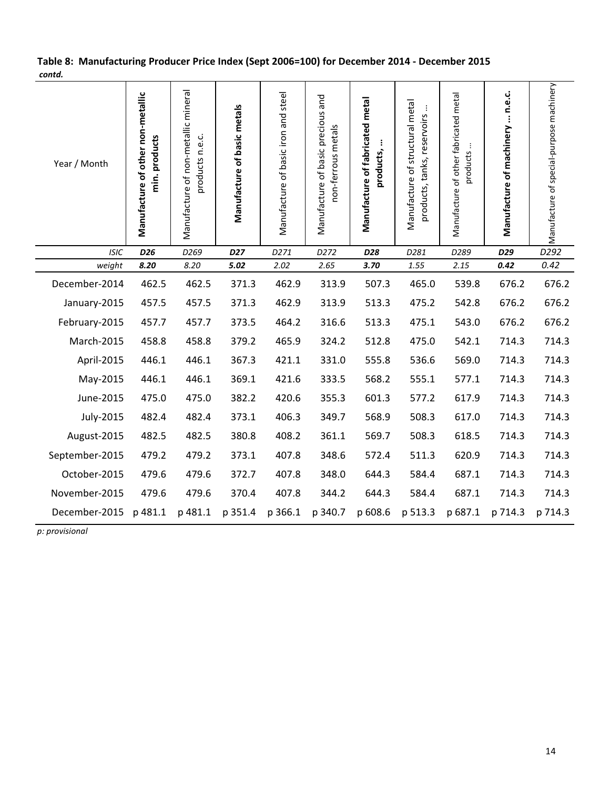| Year / Month   | Manufacture of other non-metallic<br>min. products | Manufacture of non-metallic mineral<br>products n.e.c. | Manufacture of basic metals | Manufacture of basic iron and steel | Manufacture of basic precious and<br>non-ferrous metals | Manufacture of fabricated metal<br>products, | Manufacture of structural metal<br>$\vdots$<br>products, tanks, reservoirs | Manufacture of other fabricated metal<br>products | Manufacture of machinery  n.e.c. | Manufacture of special-purpose machinery |
|----------------|----------------------------------------------------|--------------------------------------------------------|-----------------------------|-------------------------------------|---------------------------------------------------------|----------------------------------------------|----------------------------------------------------------------------------|---------------------------------------------------|----------------------------------|------------------------------------------|
| <b>ISIC</b>    | D <sub>26</sub>                                    | D269                                                   | D <sub>27</sub>             | D271                                | D272                                                    | D28                                          | D281                                                                       | D289                                              | D29                              | D <sub>292</sub>                         |
| weight         | 8.20                                               | 8.20                                                   | 5.02                        | 2.02                                | 2.65                                                    | 3.70                                         | 1.55                                                                       | 2.15                                              | 0.42                             | 0.42                                     |
| December-2014  | 462.5                                              | 462.5                                                  | 371.3                       | 462.9                               | 313.9                                                   | 507.3                                        | 465.0                                                                      | 539.8                                             | 676.2                            | 676.2                                    |
| January-2015   | 457.5                                              | 457.5                                                  | 371.3                       | 462.9                               | 313.9                                                   | 513.3                                        | 475.2                                                                      | 542.8                                             | 676.2                            | 676.2                                    |
| February-2015  | 457.7                                              | 457.7                                                  | 373.5                       | 464.2                               | 316.6                                                   | 513.3                                        | 475.1                                                                      | 543.0                                             | 676.2                            | 676.2                                    |
| March-2015     | 458.8                                              | 458.8                                                  | 379.2                       | 465.9                               | 324.2                                                   | 512.8                                        | 475.0                                                                      | 542.1                                             | 714.3                            | 714.3                                    |
| April-2015     | 446.1                                              | 446.1                                                  | 367.3                       | 421.1                               | 331.0                                                   | 555.8                                        | 536.6                                                                      | 569.0                                             | 714.3                            | 714.3                                    |
| May-2015       | 446.1                                              | 446.1                                                  | 369.1                       | 421.6                               | 333.5                                                   | 568.2                                        | 555.1                                                                      | 577.1                                             | 714.3                            | 714.3                                    |
| June-2015      | 475.0                                              | 475.0                                                  | 382.2                       | 420.6                               | 355.3                                                   | 601.3                                        | 577.2                                                                      | 617.9                                             | 714.3                            | 714.3                                    |
| July-2015      | 482.4                                              | 482.4                                                  | 373.1                       | 406.3                               | 349.7                                                   | 568.9                                        | 508.3                                                                      | 617.0                                             | 714.3                            | 714.3                                    |
| August-2015    | 482.5                                              | 482.5                                                  | 380.8                       | 408.2                               | 361.1                                                   | 569.7                                        | 508.3                                                                      | 618.5                                             | 714.3                            | 714.3                                    |
| September-2015 | 479.2                                              | 479.2                                                  | 373.1                       | 407.8                               | 348.6                                                   | 572.4                                        | 511.3                                                                      | 620.9                                             | 714.3                            | 714.3                                    |
| October-2015   | 479.6                                              | 479.6                                                  | 372.7                       | 407.8                               | 348.0                                                   | 644.3                                        | 584.4                                                                      | 687.1                                             | 714.3                            | 714.3                                    |
| November-2015  | 479.6                                              | 479.6                                                  | 370.4                       | 407.8                               | 344.2                                                   | 644.3                                        | 584.4                                                                      | 687.1                                             | 714.3                            | 714.3                                    |
| December-2015  | p 481.1                                            | p 481.1                                                | p 351.4                     | p 366.1                             | p 340.7                                                 | p 608.6                                      | p 513.3                                                                    | p 687.1                                           | p 714.3                          | p 714.3                                  |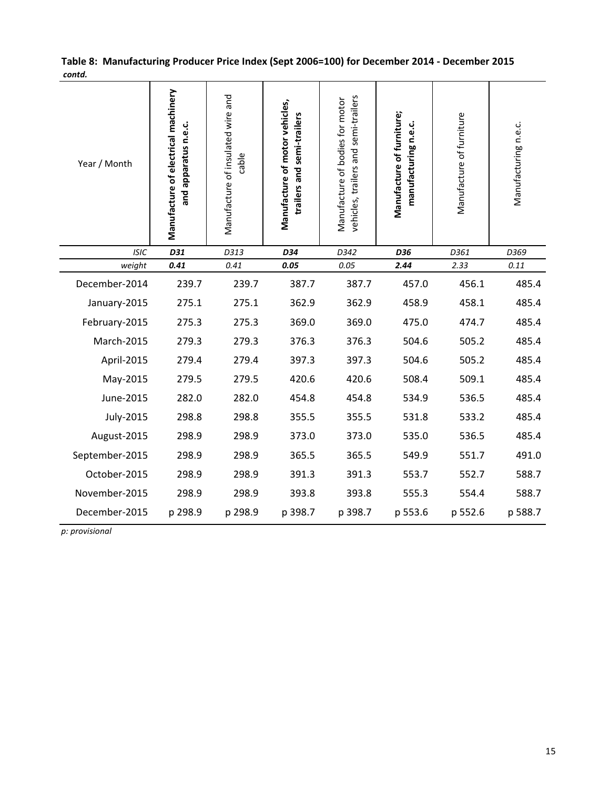| Year / Month   | Manufacture of electrical machinery<br>and apparatus n.e.c. | Manufacture of insulated wire and<br>cable | Manufacture of motor vehicles,<br>trailers and semi-trailers | vehicles, trailers and semi-trailers<br>Manufacture of bodies for motor | Manufacture of furniture;<br>manufacturing n.e.c. | Manufacture of furniture | Manufacturing n.e.c. |  |
|----------------|-------------------------------------------------------------|--------------------------------------------|--------------------------------------------------------------|-------------------------------------------------------------------------|---------------------------------------------------|--------------------------|----------------------|--|
| <b>ISIC</b>    | D31                                                         | D313                                       | D34                                                          | D342                                                                    | D36                                               | D361                     | D369                 |  |
| weight         | 0.41                                                        | 0.41                                       | 0.05                                                         | 0.05                                                                    | 2.44                                              | 2.33                     | 0.11                 |  |
| December-2014  | 239.7                                                       | 239.7                                      | 387.7                                                        | 387.7                                                                   | 457.0                                             | 456.1                    | 485.4                |  |
| January-2015   | 275.1                                                       | 275.1                                      | 362.9                                                        | 362.9                                                                   | 458.9                                             | 458.1                    | 485.4                |  |
| February-2015  | 275.3                                                       | 275.3                                      | 369.0                                                        | 369.0                                                                   | 475.0                                             | 474.7                    | 485.4                |  |
| March-2015     | 279.3                                                       | 279.3                                      | 376.3                                                        | 376.3                                                                   | 504.6                                             | 505.2                    | 485.4                |  |
| April-2015     | 279.4                                                       | 279.4                                      | 397.3                                                        | 397.3                                                                   | 504.6                                             | 505.2                    | 485.4                |  |
| May-2015       | 279.5                                                       | 279.5                                      | 420.6                                                        | 420.6                                                                   | 508.4                                             | 509.1                    | 485.4                |  |
| June-2015      | 282.0                                                       | 282.0                                      | 454.8                                                        | 454.8                                                                   | 534.9                                             | 536.5                    | 485.4                |  |
| July-2015      | 298.8                                                       | 298.8                                      | 355.5                                                        | 355.5                                                                   | 531.8                                             | 533.2                    | 485.4                |  |
| August-2015    | 298.9                                                       | 298.9                                      | 373.0                                                        | 373.0                                                                   | 535.0                                             | 536.5                    | 485.4                |  |
| September-2015 | 298.9                                                       | 298.9                                      | 365.5                                                        | 365.5                                                                   | 549.9                                             | 551.7                    | 491.0                |  |
| October-2015   | 298.9                                                       | 298.9                                      | 391.3                                                        | 391.3                                                                   | 553.7                                             | 552.7                    | 588.7                |  |
| November-2015  | 298.9                                                       | 298.9                                      | 393.8                                                        | 393.8                                                                   | 555.3                                             | 554.4                    | 588.7                |  |
| December-2015  | p 298.9                                                     | p 298.9                                    | p 398.7                                                      | p 398.7                                                                 | p 553.6                                           | p 552.6                  | p 588.7              |  |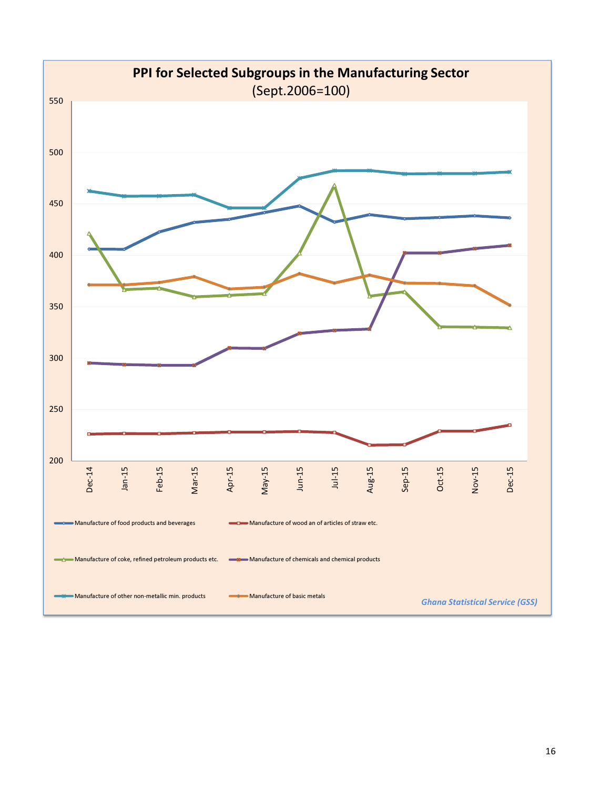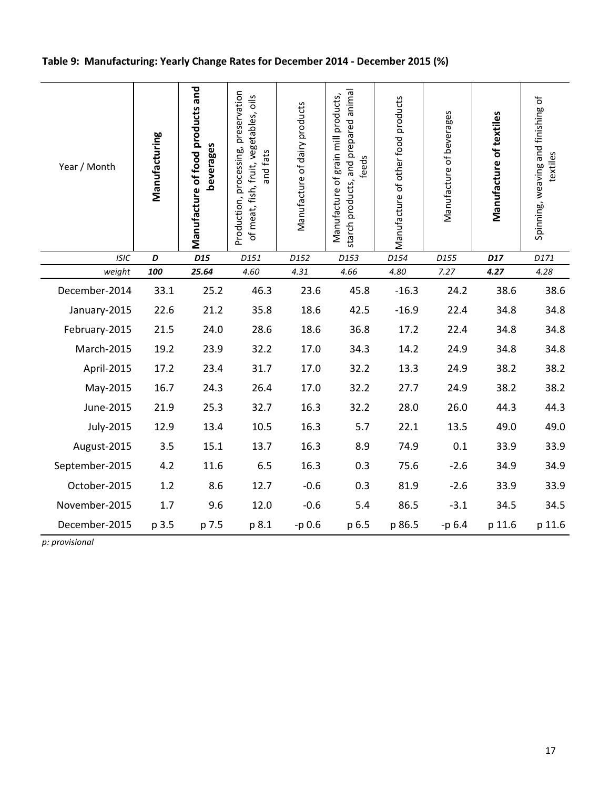# Table 9: Manufacturing: Yearly Change Rates for December 2014 - December 2015 (%)

| Year / Month   | Manufacturing | Manufacture of food products and<br>beverages | Production, processing, preservation<br>of meat, fish, fruit, vegetables, oils<br>and fats | Manufacture of dairy products | starch products, and prepared anima<br>Manufacture of grain mill products,<br>feeds | Manufacture of other food products | Manufacture of beverages | Manufacture of textiles | Spinning, weaving and finishing of<br>textiles |
|----------------|---------------|-----------------------------------------------|--------------------------------------------------------------------------------------------|-------------------------------|-------------------------------------------------------------------------------------|------------------------------------|--------------------------|-------------------------|------------------------------------------------|
| <b>ISIC</b>    | D             | D <sub>15</sub>                               | D151                                                                                       | D152                          | D153                                                                                | D154                               | D155                     | D17                     | D171                                           |
| weight         | 100           | 25.64                                         | 4.60                                                                                       | 4.31                          | 4.66                                                                                | 4.80                               | 7.27                     | 4.27                    | 4.28                                           |
| December-2014  | 33.1          | 25.2                                          | 46.3                                                                                       | 23.6                          | 45.8                                                                                | $-16.3$                            | 24.2                     | 38.6                    | 38.6                                           |
| January-2015   | 22.6          | 21.2                                          | 35.8                                                                                       | 18.6                          | 42.5                                                                                | $-16.9$                            | 22.4                     | 34.8                    | 34.8                                           |
| February-2015  | 21.5          | 24.0                                          | 28.6                                                                                       | 18.6                          | 36.8                                                                                | 17.2                               | 22.4                     | 34.8                    | 34.8                                           |
| March-2015     | 19.2          | 23.9                                          | 32.2                                                                                       | 17.0                          | 34.3                                                                                | 14.2                               | 24.9                     | 34.8                    | 34.8                                           |
| April-2015     | 17.2          | 23.4                                          | 31.7                                                                                       | 17.0                          | 32.2                                                                                | 13.3                               | 24.9                     | 38.2                    | 38.2                                           |
| May-2015       | 16.7          | 24.3                                          | 26.4                                                                                       | 17.0                          | 32.2                                                                                | 27.7                               | 24.9                     | 38.2                    | 38.2                                           |
| June-2015      | 21.9          | 25.3                                          | 32.7                                                                                       | 16.3                          | 32.2                                                                                | 28.0                               | 26.0                     | 44.3                    | 44.3                                           |
| July-2015      | 12.9          | 13.4                                          | 10.5                                                                                       | 16.3                          | 5.7                                                                                 | 22.1                               | 13.5                     | 49.0                    | 49.0                                           |
| August-2015    | 3.5           | 15.1                                          | 13.7                                                                                       | 16.3                          | 8.9                                                                                 | 74.9                               | 0.1                      | 33.9                    | 33.9                                           |
| September-2015 | 4.2           | 11.6                                          | 6.5                                                                                        | 16.3                          | 0.3                                                                                 | 75.6                               | $-2.6$                   | 34.9                    | 34.9                                           |
| October-2015   | 1.2           | 8.6                                           | 12.7                                                                                       | $-0.6$                        | 0.3                                                                                 | 81.9                               | $-2.6$                   | 33.9                    | 33.9                                           |
| November-2015  | 1.7           | 9.6                                           | 12.0                                                                                       | $-0.6$                        | 5.4                                                                                 | 86.5                               | $-3.1$                   | 34.5                    | 34.5                                           |
| December-2015  | p 3.5         | p 7.5                                         | p 8.1                                                                                      | $-p 0.6$                      | p 6.5                                                                               | p 86.5                             | $-p6.4$                  | p 11.6                  | p 11.6                                         |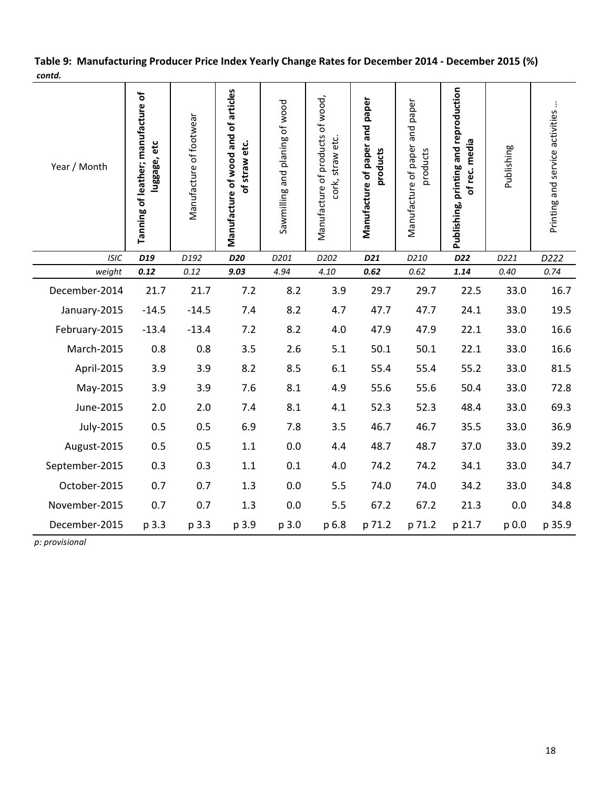## Table 9: Manufacturing Producer Price Index Yearly Change Rates for December 2014 - December 2015 (%) contd.

| Year / Month   | Tanning of leather; manufacture of<br>luggage, etc | Manufacture of footwear | Manufacture of wood and of articles<br>of straw etc. | Sawmilling and planing of wood | Manufacture of products of wood,<br>cork, straw etc. | Manufacture of paper and paper<br>products | Manufacture of paper and paper<br>products | Publishing, printing and reproduction<br>of rec. media | Publishing | ÷<br>Printing and service activities |
|----------------|----------------------------------------------------|-------------------------|------------------------------------------------------|--------------------------------|------------------------------------------------------|--------------------------------------------|--------------------------------------------|--------------------------------------------------------|------------|--------------------------------------|
| <b>ISIC</b>    | D <sub>19</sub>                                    | D192                    | D20                                                  | D201                           | D202                                                 | D <sub>21</sub>                            | D210                                       | D22                                                    | D221       | D222                                 |
| weight         | 0.12                                               | 0.12                    | 9.03                                                 | 4.94                           | 4.10                                                 | 0.62                                       | 0.62                                       | 1.14                                                   | 0.40       | 0.74                                 |
| December-2014  | 21.7                                               | 21.7                    | 7.2                                                  | 8.2                            | 3.9                                                  | 29.7                                       | 29.7                                       | 22.5                                                   | 33.0       | 16.7                                 |
| January-2015   | $-14.5$                                            | $-14.5$                 | 7.4                                                  | 8.2                            | 4.7                                                  | 47.7                                       | 47.7                                       | 24.1                                                   | 33.0       | 19.5                                 |
| February-2015  | $-13.4$                                            | $-13.4$                 | 7.2                                                  | 8.2                            | 4.0                                                  | 47.9                                       | 47.9                                       | 22.1                                                   | 33.0       | 16.6                                 |
| March-2015     | 0.8                                                | 0.8                     | 3.5                                                  | 2.6                            | 5.1                                                  | 50.1                                       | 50.1                                       | 22.1                                                   | 33.0       | 16.6                                 |
| April-2015     | 3.9                                                | 3.9                     | 8.2                                                  | 8.5                            | 6.1                                                  | 55.4                                       | 55.4                                       | 55.2                                                   | 33.0       | 81.5                                 |
| May-2015       | 3.9                                                | 3.9                     | 7.6                                                  | 8.1                            | 4.9                                                  | 55.6                                       | 55.6                                       | 50.4                                                   | 33.0       | 72.8                                 |
| June-2015      | 2.0                                                | 2.0                     | 7.4                                                  | 8.1                            | 4.1                                                  | 52.3                                       | 52.3                                       | 48.4                                                   | 33.0       | 69.3                                 |
| July-2015      | 0.5                                                | 0.5                     | 6.9                                                  | 7.8                            | 3.5                                                  | 46.7                                       | 46.7                                       | 35.5                                                   | 33.0       | 36.9                                 |
| August-2015    | 0.5                                                | 0.5                     | 1.1                                                  | 0.0                            | 4.4                                                  | 48.7                                       | 48.7                                       | 37.0                                                   | 33.0       | 39.2                                 |
| September-2015 | 0.3                                                | 0.3                     | 1.1                                                  | 0.1                            | 4.0                                                  | 74.2                                       | 74.2                                       | 34.1                                                   | 33.0       | 34.7                                 |
| October-2015   | 0.7                                                | 0.7                     | 1.3                                                  | 0.0                            | 5.5                                                  | 74.0                                       | 74.0                                       | 34.2                                                   | 33.0       | 34.8                                 |
| November-2015  | 0.7                                                | 0.7                     | 1.3                                                  | 0.0                            | 5.5                                                  | 67.2                                       | 67.2                                       | 21.3                                                   | 0.0        | 34.8                                 |
| December-2015  | p 3.3                                              | p 3.3                   | p 3.9                                                | p 3.0                          | p 6.8                                                | p 71.2                                     | p 71.2                                     | p 21.7                                                 | p 0.0      | p 35.9                               |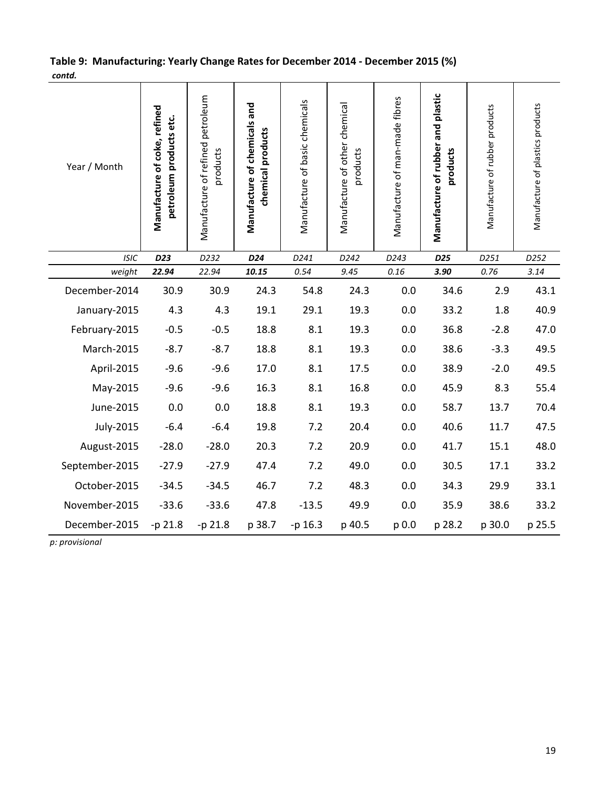## Table 9: Manufacturing: Yearly Change Rates for December 2014 - December 2015 (%) contd.

| Year / Month   | Manufacture of coke, refined<br>petroleum products etc. | Manufacture of refined petroleum<br>products | Manufacture of chemicals and<br>chemical products | Manufacture of basic chemicals | Manufacture of other chemical<br>products | Manufacture of man-made fibres | Manufacture of rubber and plastic<br>products | Manufacture of rubber products | Manufacture of plastics products |
|----------------|---------------------------------------------------------|----------------------------------------------|---------------------------------------------------|--------------------------------|-------------------------------------------|--------------------------------|-----------------------------------------------|--------------------------------|----------------------------------|
| <b>ISIC</b>    | D23                                                     | D232                                         | D24                                               | D241                           | D242                                      | D243                           | D <sub>25</sub>                               | D251                           | D252                             |
| weight         | 22.94                                                   | 22.94                                        | 10.15                                             | 0.54                           | 9.45                                      | 0.16                           | 3.90                                          | 0.76                           | 3.14                             |
| December-2014  | 30.9                                                    | 30.9                                         | 24.3                                              | 54.8                           | 24.3                                      | 0.0                            | 34.6                                          | 2.9                            | 43.1                             |
| January-2015   | 4.3                                                     | 4.3                                          | 19.1                                              | 29.1                           | 19.3                                      | 0.0                            | 33.2                                          | 1.8                            | 40.9                             |
| February-2015  | $-0.5$                                                  | $-0.5$                                       | 18.8                                              | 8.1                            | 19.3                                      | 0.0                            | 36.8                                          | $-2.8$                         | 47.0                             |
| March-2015     | $-8.7$                                                  | $-8.7$                                       | 18.8                                              | 8.1                            | 19.3                                      | 0.0                            | 38.6                                          | $-3.3$                         | 49.5                             |
| April-2015     | $-9.6$                                                  | $-9.6$                                       | 17.0                                              | 8.1                            | 17.5                                      | 0.0                            | 38.9                                          | $-2.0$                         | 49.5                             |
| May-2015       | $-9.6$                                                  | $-9.6$                                       | 16.3                                              | 8.1                            | 16.8                                      | 0.0                            | 45.9                                          | 8.3                            | 55.4                             |
| June-2015      | 0.0                                                     | 0.0                                          | 18.8                                              | 8.1                            | 19.3                                      | 0.0                            | 58.7                                          | 13.7                           | 70.4                             |
| July-2015      | $-6.4$                                                  | $-6.4$                                       | 19.8                                              | 7.2                            | 20.4                                      | 0.0                            | 40.6                                          | 11.7                           | 47.5                             |
| August-2015    | $-28.0$                                                 | $-28.0$                                      | 20.3                                              | 7.2                            | 20.9                                      | 0.0                            | 41.7                                          | 15.1                           | 48.0                             |
| September-2015 | $-27.9$                                                 | $-27.9$                                      | 47.4                                              | 7.2                            | 49.0                                      | 0.0                            | 30.5                                          | 17.1                           | 33.2                             |
| October-2015   | $-34.5$                                                 | $-34.5$                                      | 46.7                                              | 7.2                            | 48.3                                      | 0.0                            | 34.3                                          | 29.9                           | 33.1                             |
| November-2015  | $-33.6$                                                 | $-33.6$                                      | 47.8                                              | $-13.5$                        | 49.9                                      | 0.0                            | 35.9                                          | 38.6                           | 33.2                             |
| December-2015  | -p 21.8                                                 | -p 21.8                                      | p 38.7                                            | -p 16.3                        | p 40.5                                    | p 0.0                          | p 28.2                                        | p 30.0                         | p 25.5                           |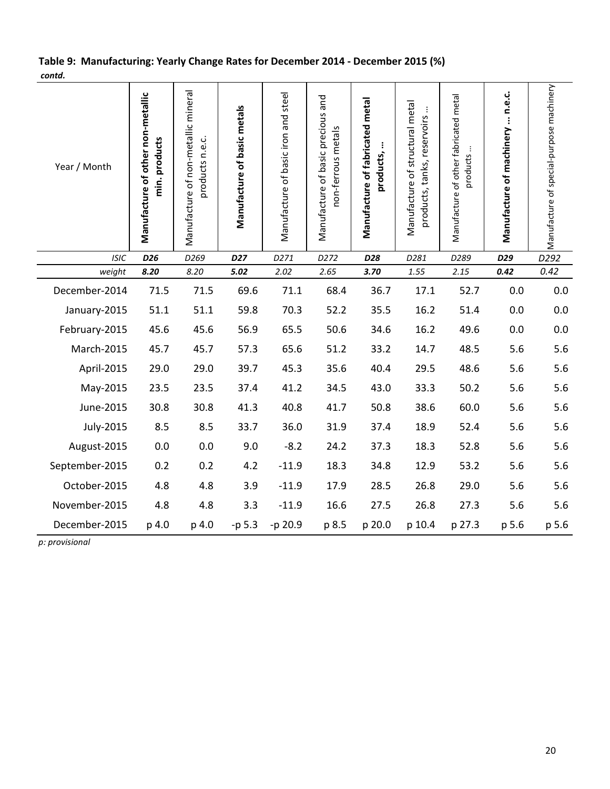## Table 9: Manufacturing: Yearly Change Rates for December 2014 - December 2015 (%) contd.

| Year / Month   | Manufacture of other non-metallic<br>min. products | Manufacture of non-metallic mineral<br>products n.e.c. | Manufacture of basic metals | Manufacture of basic iron and steel | Manufacture of basic precious and<br>non-ferrous metals | Manufacture of fabricated metal<br>products, | Manufacture of structural metal<br>÷<br>products, tanks, reservoirs | Manufacture of other fabricated metal<br>products | Manufacture of machinery  n.e.c. | Manufacture of special-purpose machinery |
|----------------|----------------------------------------------------|--------------------------------------------------------|-----------------------------|-------------------------------------|---------------------------------------------------------|----------------------------------------------|---------------------------------------------------------------------|---------------------------------------------------|----------------------------------|------------------------------------------|
| <b>ISIC</b>    | D <sub>26</sub>                                    | D269                                                   | D <sub>27</sub>             | D271                                | D272                                                    | D28                                          | D281                                                                | D289                                              | D29                              | D <sub>292</sub>                         |
| weight         | 8.20                                               | 8.20                                                   | 5.02                        | 2.02                                | 2.65                                                    | 3.70                                         | 1.55                                                                | 2.15                                              | 0.42                             | 0.42                                     |
| December-2014  | 71.5                                               | 71.5                                                   | 69.6                        | 71.1                                | 68.4                                                    | 36.7                                         | 17.1                                                                | 52.7                                              | 0.0                              | 0.0                                      |
| January-2015   | 51.1                                               | 51.1                                                   | 59.8                        | 70.3                                | 52.2                                                    | 35.5                                         | 16.2                                                                | 51.4                                              | 0.0                              | 0.0                                      |
| February-2015  | 45.6                                               | 45.6                                                   | 56.9                        | 65.5                                | 50.6                                                    | 34.6                                         | 16.2                                                                | 49.6                                              | 0.0                              | 0.0                                      |
| March-2015     | 45.7                                               | 45.7                                                   | 57.3                        | 65.6                                | 51.2                                                    | 33.2                                         | 14.7                                                                | 48.5                                              | 5.6                              | 5.6                                      |
| April-2015     | 29.0                                               | 29.0                                                   | 39.7                        | 45.3                                | 35.6                                                    | 40.4                                         | 29.5                                                                | 48.6                                              | 5.6                              | 5.6                                      |
| May-2015       | 23.5                                               | 23.5                                                   | 37.4                        | 41.2                                | 34.5                                                    | 43.0                                         | 33.3                                                                | 50.2                                              | 5.6                              | 5.6                                      |
| June-2015      | 30.8                                               | 30.8                                                   | 41.3                        | 40.8                                | 41.7                                                    | 50.8                                         | 38.6                                                                | 60.0                                              | 5.6                              | 5.6                                      |
| July-2015      | 8.5                                                | 8.5                                                    | 33.7                        | 36.0                                | 31.9                                                    | 37.4                                         | 18.9                                                                | 52.4                                              | 5.6                              | 5.6                                      |
| August-2015    | 0.0                                                | 0.0                                                    | 9.0                         | $-8.2$                              | 24.2                                                    | 37.3                                         | 18.3                                                                | 52.8                                              | 5.6                              | 5.6                                      |
| September-2015 | 0.2                                                | 0.2                                                    | 4.2                         | $-11.9$                             | 18.3                                                    | 34.8                                         | 12.9                                                                | 53.2                                              | 5.6                              | 5.6                                      |
| October-2015   | 4.8                                                | 4.8                                                    | 3.9                         | $-11.9$                             | 17.9                                                    | 28.5                                         | 26.8                                                                | 29.0                                              | 5.6                              | 5.6                                      |
| November-2015  | 4.8                                                | 4.8                                                    | 3.3                         | $-11.9$                             | 16.6                                                    | 27.5                                         | 26.8                                                                | 27.3                                              | 5.6                              | 5.6                                      |
| December-2015  | p 4.0                                              | p 4.0                                                  | $-p 5.3$                    | -p 20.9                             | p 8.5                                                   | p 20.0                                       | p 10.4                                                              | p 27.3                                            | p 5.6                            | p 5.6                                    |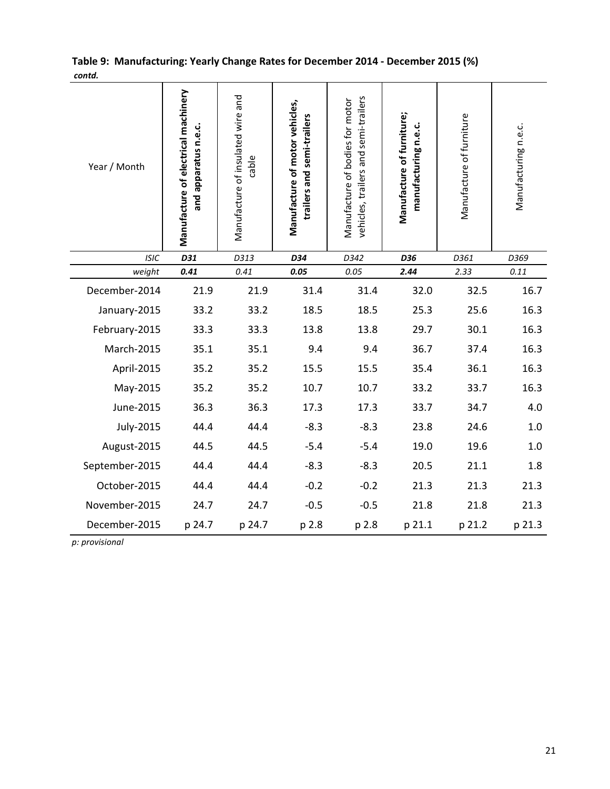|        | Table 9: Manufacturing: Yearly Change Rates for December 2014 - December 2015 (%) |  |
|--------|-----------------------------------------------------------------------------------|--|
| contd. |                                                                                   |  |

| Year / Month   | Manufacture of electrical machinery<br>and apparatus n.e.c. | Manufacture of insulated wire and<br>cable | Manufacture of motor vehicles,<br>trailers and semi-trailers | vehicles, trailers and semi-trailers<br>Manufacture of bodies for motor | Manufacture of furniture;<br>manufacturing n.e.c. | Manufacture of furniture | Manufacturing n.e.c. |
|----------------|-------------------------------------------------------------|--------------------------------------------|--------------------------------------------------------------|-------------------------------------------------------------------------|---------------------------------------------------|--------------------------|----------------------|
| <b>ISIC</b>    | D31                                                         | D313                                       | D34                                                          | D342                                                                    | D36                                               | D361                     | D369                 |
| weight         | 0.41                                                        | 0.41                                       | 0.05                                                         | 0.05                                                                    | 2.44                                              | 2.33                     | $0.11\,$             |
| December-2014  | 21.9                                                        | 21.9                                       | 31.4                                                         | 31.4                                                                    | 32.0                                              | 32.5                     | 16.7                 |
| January-2015   | 33.2                                                        | 33.2                                       | 18.5                                                         | 18.5                                                                    | 25.3                                              | 25.6                     | 16.3                 |
| February-2015  | 33.3                                                        | 33.3                                       | 13.8                                                         | 13.8                                                                    | 29.7                                              | 30.1                     | 16.3                 |
| March-2015     | 35.1                                                        | 35.1                                       | 9.4                                                          | 9.4                                                                     | 36.7                                              | 37.4                     | 16.3                 |
| April-2015     | 35.2                                                        | 35.2                                       | 15.5                                                         | 15.5                                                                    | 35.4                                              | 36.1                     | 16.3                 |
| May-2015       | 35.2                                                        | 35.2                                       | 10.7                                                         | 10.7                                                                    | 33.2                                              | 33.7                     | 16.3                 |
| June-2015      | 36.3                                                        | 36.3                                       | 17.3                                                         | 17.3                                                                    | 33.7                                              | 34.7                     | 4.0                  |
| July-2015      | 44.4                                                        | 44.4                                       | $-8.3$                                                       | $-8.3$                                                                  | 23.8                                              | 24.6                     | 1.0                  |
| August-2015    | 44.5                                                        | 44.5                                       | $-5.4$                                                       | $-5.4$                                                                  | 19.0                                              | 19.6                     | 1.0                  |
| September-2015 | 44.4                                                        | 44.4                                       | $-8.3$                                                       | $-8.3$                                                                  | 20.5                                              | 21.1                     | 1.8                  |
| October-2015   | 44.4                                                        | 44.4                                       | $-0.2$                                                       | $-0.2$                                                                  | 21.3                                              | 21.3                     | 21.3                 |
| November-2015  | 24.7                                                        | 24.7                                       | $-0.5$                                                       | $-0.5$                                                                  | 21.8                                              | 21.8                     | 21.3                 |
| December-2015  | p 24.7                                                      | p 24.7                                     | p 2.8                                                        | p 2.8                                                                   | p 21.1                                            | p 21.2                   | p 21.3               |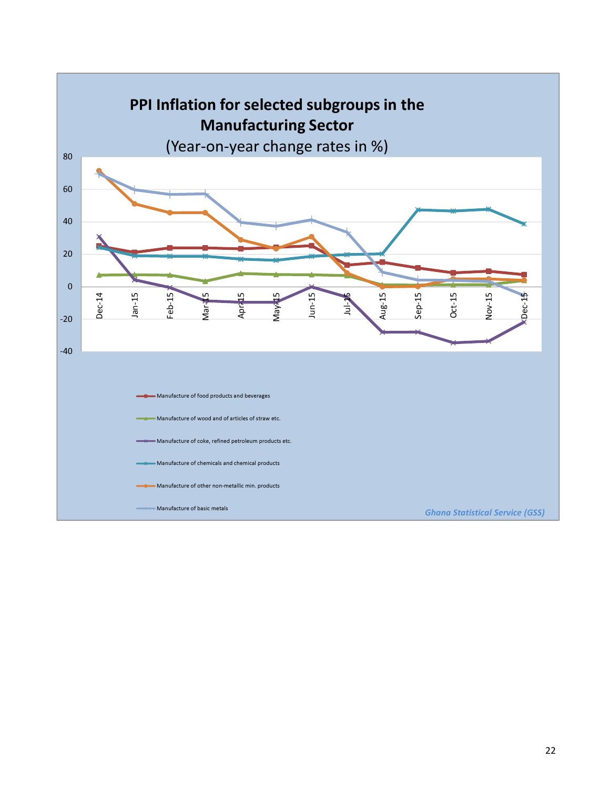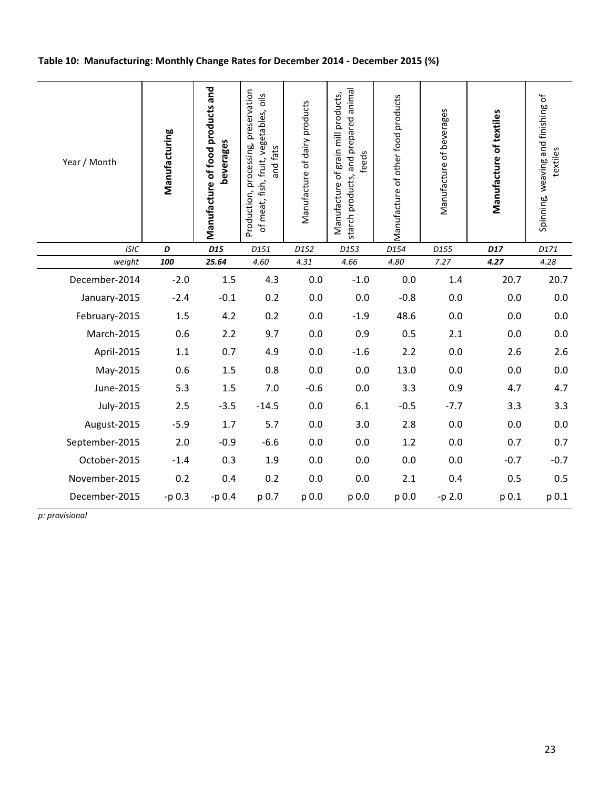## Table 10: Manufacturing: Monthly Change Rates for December 2014 - December 2015 (%)

| Year / Month          | Manufacturing | Manufacture of food products and<br>beverages | Production, processing, preservation<br>of meat, fish, fruit, vegetables, oils<br>and fats | Manufacture of dairy products | starch products, and prepared animal<br>Manufacture of grain mill products,<br>feeds | Manufacture of other food products | Manufacture of beverages | Manufacture of textiles | Spinning, weaving and finishing of<br>textiles |
|-----------------------|---------------|-----------------------------------------------|--------------------------------------------------------------------------------------------|-------------------------------|--------------------------------------------------------------------------------------|------------------------------------|--------------------------|-------------------------|------------------------------------------------|
| <b>ISIC</b><br>weight | D<br>100      | D <sub>15</sub><br>25.64                      | D151<br>4.60                                                                               | D152<br>4.31                  | D153<br>4.66                                                                         | D154<br>4.80                       | D155<br>7.27             | D17<br>4.27             | D171<br>4.28                                   |
| December-2014         | $-2.0$        | 1.5                                           | 4.3                                                                                        | 0.0                           | $-1.0$                                                                               | 0.0                                | 1.4                      | 20.7                    | 20.7                                           |
| January-2015          | $-2.4$        | $-0.1$                                        | 0.2                                                                                        | 0.0                           | 0.0                                                                                  | $-0.8$                             | 0.0                      | 0.0                     | $0.0\,$                                        |
| February-2015         | 1.5           | 4.2                                           | 0.2                                                                                        | 0.0                           | $-1.9$                                                                               | 48.6                               | 0.0                      | 0.0                     | 0.0                                            |
| March-2015            | 0.6           | 2.2                                           | 9.7                                                                                        | 0.0                           | 0.9                                                                                  | 0.5                                | 2.1                      | 0.0                     | 0.0                                            |
| April-2015            | 1.1           | 0.7                                           | 4.9                                                                                        | 0.0                           | $-1.6$                                                                               | 2.2                                | 0.0                      | 2.6                     | 2.6                                            |
| May-2015              | 0.6           | 1.5                                           | 0.8                                                                                        | 0.0                           | $0.0\,$                                                                              | 13.0                               | 0.0                      | 0.0                     | 0.0                                            |
| June-2015             | 5.3           | 1.5                                           | 7.0                                                                                        | $-0.6$                        | $0.0\,$                                                                              | 3.3                                | 0.9                      | 4.7                     | 4.7                                            |
| July-2015             | 2.5           | $-3.5$                                        | $-14.5$                                                                                    | 0.0                           | 6.1                                                                                  | $-0.5$                             | $-7.7$                   | 3.3                     | 3.3                                            |
| August-2015           | $-5.9$        | 1.7                                           | 5.7                                                                                        | 0.0                           | 3.0                                                                                  | 2.8                                | 0.0                      | 0.0                     | 0.0                                            |
| September-2015        | 2.0           | $-0.9$                                        | $-6.6$                                                                                     | 0.0                           | 0.0                                                                                  | 1.2                                | 0.0                      | 0.7                     | 0.7                                            |
| October-2015          | $-1.4$        | 0.3                                           | 1.9                                                                                        | 0.0                           | 0.0                                                                                  | 0.0                                | 0.0                      | $-0.7$                  | $-0.7$                                         |
| November-2015         | 0.2           | 0.4                                           | 0.2                                                                                        | 0.0                           | 0.0                                                                                  | 2.1                                | 0.4                      | 0.5                     | 0.5                                            |
| December-2015         | $-p 0.3$      | $-p 0.4$                                      | p 0.7                                                                                      | p 0.0                         | p 0.0                                                                                | p 0.0                              | $-p2.0$                  | p 0.1                   | p 0.1                                          |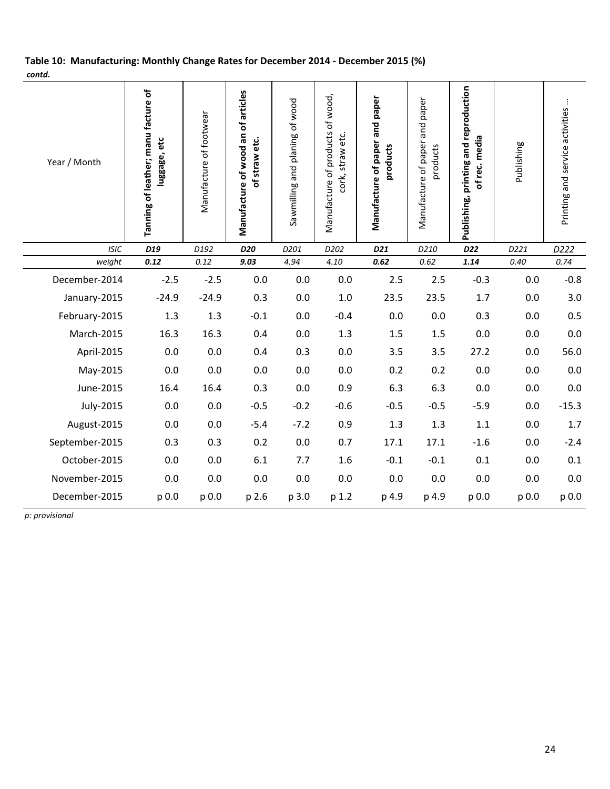## Table 10: Manufacturing: Monthly Change Rates for December 2014 - December 2015 (%) contd.

| Year / Month          | Tanning of leather; manu facture of<br>luggage, etc | Manufacture of footwear | Manufacture of wood an of articles<br>of straw etc. | Sawmilling and planing of wood | Manufacture of products of wood,<br>cork, straw etc. | Manufacture of paper and paper<br>products | paper<br>and<br>Manufacture of paper<br>products | Publishing, printing and reproduction<br>of rec. media | Publishing   | Printing and service activities |
|-----------------------|-----------------------------------------------------|-------------------------|-----------------------------------------------------|--------------------------------|------------------------------------------------------|--------------------------------------------|--------------------------------------------------|--------------------------------------------------------|--------------|---------------------------------|
| <b>ISIC</b><br>weight | D19<br>0.12                                         | D192<br>0.12            | D20<br>9.03                                         | D201<br>4.94                   | D202<br>4.10                                         | D <sub>21</sub><br>0.62                    | D210<br>0.62                                     | D22<br>1.14                                            | D221<br>0.40 | D222<br>0.74                    |
| December-2014         | $-2.5$                                              | $-2.5$                  | 0.0                                                 | 0.0                            | 0.0                                                  | 2.5                                        | 2.5                                              | $-0.3$                                                 |              | $-0.8$                          |
|                       |                                                     |                         |                                                     |                                |                                                      |                                            |                                                  |                                                        | 0.0          |                                 |
| January-2015          | $-24.9$                                             | $-24.9$                 | 0.3                                                 | 0.0                            | 1.0                                                  | 23.5                                       | 23.5                                             | 1.7                                                    | 0.0          | 3.0                             |
| February-2015         | 1.3                                                 | 1.3                     | $-0.1$                                              | 0.0                            | $-0.4$                                               | 0.0                                        | 0.0                                              | 0.3                                                    | 0.0          | 0.5                             |
| March-2015            | 16.3                                                | 16.3                    | 0.4                                                 | 0.0                            | 1.3                                                  | 1.5                                        | 1.5                                              | $0.0\,$                                                | 0.0          | 0.0                             |
| April-2015            | 0.0                                                 | $0.0\,$                 | 0.4                                                 | 0.3                            | 0.0                                                  | 3.5                                        | 3.5                                              | 27.2                                                   | 0.0          | 56.0                            |
| May-2015              | 0.0                                                 | 0.0                     | 0.0                                                 | 0.0                            | 0.0                                                  | 0.2                                        | 0.2                                              | 0.0                                                    | 0.0          | 0.0                             |
| June-2015             | 16.4                                                | 16.4                    | 0.3                                                 | 0.0                            | 0.9                                                  | 6.3                                        | 6.3                                              | 0.0                                                    | 0.0          | 0.0                             |
| July-2015             | 0.0                                                 | 0.0                     | $-0.5$                                              | $-0.2$                         | $-0.6$                                               | $-0.5$                                     | $-0.5$                                           | $-5.9$                                                 | 0.0          | $-15.3$                         |
| August-2015           | 0.0                                                 | 0.0                     | $-5.4$                                              | $-7.2$                         | 0.9                                                  | 1.3                                        | 1.3                                              | 1.1                                                    | 0.0          | 1.7                             |
| September-2015        | 0.3                                                 | 0.3                     | 0.2                                                 | 0.0                            | 0.7                                                  | 17.1                                       | 17.1                                             | $-1.6$                                                 | 0.0          | $-2.4$                          |
| October-2015          | 0.0                                                 | 0.0                     | 6.1                                                 | 7.7                            | 1.6                                                  | $-0.1$                                     | $-0.1$                                           | 0.1                                                    | 0.0          | 0.1                             |
| November-2015         | 0.0                                                 | 0.0                     | 0.0                                                 | 0.0                            | 0.0                                                  | 0.0                                        | 0.0                                              | 0.0                                                    | 0.0          | 0.0                             |
| December-2015         | p 0.0                                               | p 0.0                   | p 2.6                                               | p 3.0                          | p 1.2                                                | p 4.9                                      | p 4.9                                            | p 0.0                                                  | p 0.0        | p 0.0                           |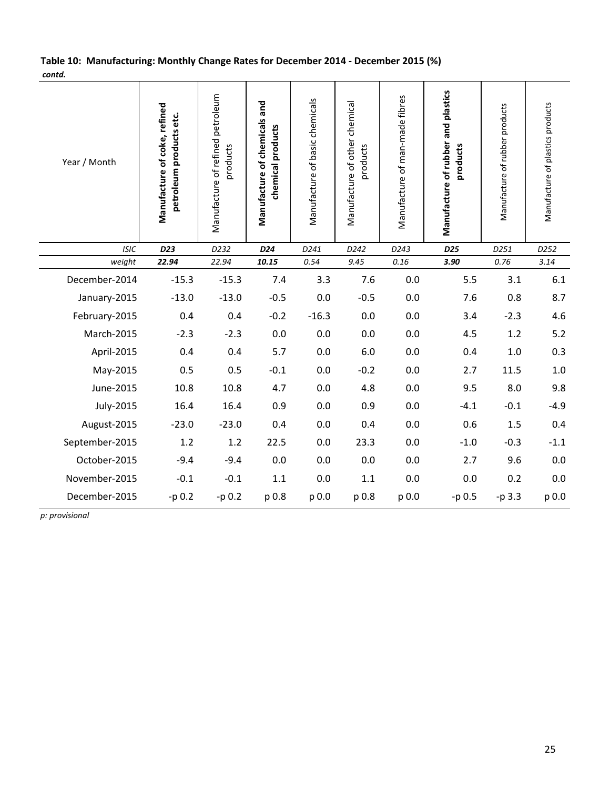## Table 10: Manufacturing: Monthly Change Rates for December 2014 - December 2015 (%) contd.

| Year / Month   | Manufacture of coke, refined<br>petroleum products etc. | Manufacture of refined petroleum<br>products | Manufacture of chemicals and<br>chemical products | Manufacture of basic chemicals | Manufacture of other chemical<br>products | Manufacture of man-made fibres | Manufacture of rubber and plastics<br>products | Manufacture of rubber products | Manufacture of plastics products |
|----------------|---------------------------------------------------------|----------------------------------------------|---------------------------------------------------|--------------------------------|-------------------------------------------|--------------------------------|------------------------------------------------|--------------------------------|----------------------------------|
| <b>ISIC</b>    | D23                                                     | D232                                         | D24                                               | D241                           | D242                                      | D243                           | D <sub>25</sub>                                | D251                           | D252                             |
| weight         | 22.94                                                   | 22.94                                        | 10.15                                             | 0.54                           | 9.45                                      | $0.16\,$                       | 3.90                                           | 0.76                           | 3.14                             |
| December-2014  | $-15.3$                                                 | $-15.3$                                      | 7.4                                               | 3.3                            | 7.6                                       | 0.0                            | 5.5                                            | 3.1                            | 6.1                              |
| January-2015   | $-13.0$                                                 | $-13.0$                                      | $-0.5$                                            | 0.0                            | $-0.5$                                    | 0.0                            | 7.6                                            | 0.8                            | 8.7                              |
| February-2015  | 0.4                                                     | 0.4                                          | $-0.2$                                            | $-16.3$                        | $0.0\,$                                   | 0.0                            | 3.4                                            | $-2.3$                         | 4.6                              |
| March-2015     | $-2.3$                                                  | $-2.3$                                       | 0.0                                               | 0.0                            | 0.0                                       | 0.0                            | 4.5                                            | 1.2                            | $5.2$                            |
| April-2015     | 0.4                                                     | 0.4                                          | 5.7                                               | 0.0                            | 6.0                                       | 0.0                            | 0.4                                            | 1.0                            | 0.3                              |
| May-2015       | 0.5                                                     | 0.5                                          | $-0.1$                                            | 0.0                            | $-0.2$                                    | 0.0                            | 2.7                                            | 11.5                           | 1.0                              |
| June-2015      | 10.8                                                    | 10.8                                         | 4.7                                               | 0.0                            | 4.8                                       | $0.0\,$                        | 9.5                                            | 8.0                            | 9.8                              |
| July-2015      | 16.4                                                    | 16.4                                         | 0.9                                               | 0.0                            | 0.9                                       | 0.0                            | $-4.1$                                         | $-0.1$                         | $-4.9$                           |
| August-2015    | $-23.0$                                                 | $-23.0$                                      | 0.4                                               | 0.0                            | 0.4                                       | $0.0\,$                        | 0.6                                            | 1.5                            | 0.4                              |
| September-2015 | 1.2                                                     | 1.2                                          | 22.5                                              | 0.0                            | 23.3                                      | 0.0                            | $-1.0$                                         | $-0.3$                         | $-1.1$                           |
| October-2015   | $-9.4$                                                  | $-9.4$                                       | 0.0                                               | 0.0                            | 0.0                                       | 0.0                            | 2.7                                            | 9.6                            | 0.0                              |
| November-2015  | $-0.1$                                                  | $-0.1$                                       | $1.1\,$                                           | 0.0                            | 1.1                                       | 0.0                            | 0.0                                            | 0.2                            | 0.0                              |
| December-2015  | $-p 0.2$                                                | $-p 0.2$                                     | p 0.8                                             | p 0.0                          | p 0.8                                     | p 0.0                          | -p 0.5                                         | -p 3.3                         | p 0.0                            |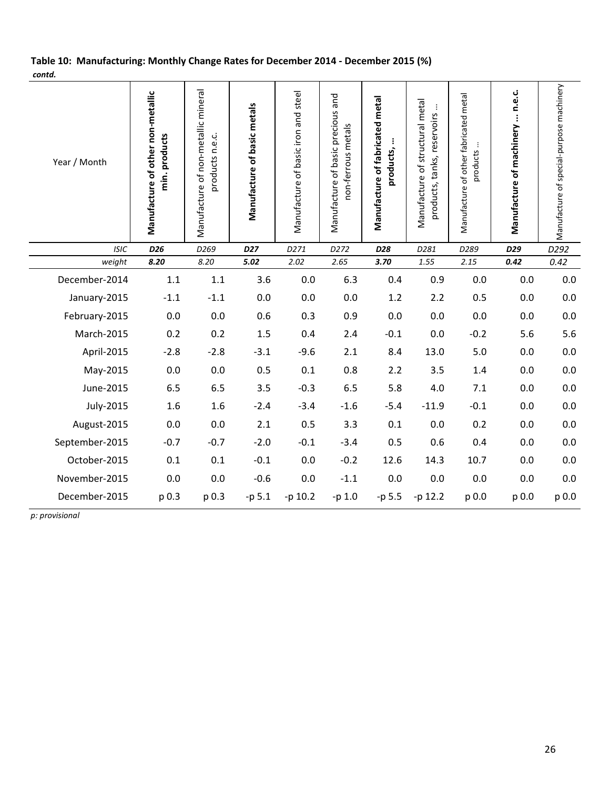## Table 10: Manufacturing: Monthly Change Rates for December 2014 - December 2015 (%) contd.

| Year / Month   | Manufacture of other non-metallic<br>min. products | Manufacture of non-metallic mineral<br>products n.e.c. | Manufacture of basic metals | Manufacture of basic iron and steel | Manufacture of basic precious and<br>non-ferrous metals | Manufacture of fabricated metal<br>products, | Manufacture of structural metal<br>$\vdots$<br>products, tanks, reservoirs | Manufacture of other fabricated metal<br>÷<br>products | Manufacture of machinery  n.e.c. | Manufacture of special-purpose machinery |
|----------------|----------------------------------------------------|--------------------------------------------------------|-----------------------------|-------------------------------------|---------------------------------------------------------|----------------------------------------------|----------------------------------------------------------------------------|--------------------------------------------------------|----------------------------------|------------------------------------------|
| <b>ISIC</b>    | D <sub>26</sub>                                    | D <sub>269</sub>                                       | D <sub>27</sub>             | D271                                | D272                                                    | D28                                          | D281                                                                       | D289                                                   | D29                              | D292                                     |
| weight         | 8.20                                               | 8.20                                                   | 5.02                        | 2.02                                | 2.65                                                    | 3.70                                         | 1.55                                                                       | 2.15                                                   | 0.42                             | 0.42                                     |
| December-2014  | 1.1                                                | 1.1                                                    | 3.6                         | 0.0                                 | 6.3                                                     | 0.4                                          | 0.9                                                                        | 0.0                                                    | 0.0                              | 0.0                                      |
| January-2015   | $-1.1$                                             | $-1.1$                                                 | 0.0                         | 0.0                                 | 0.0                                                     | 1.2                                          | 2.2                                                                        | 0.5                                                    | 0.0                              | 0.0                                      |
| February-2015  | 0.0                                                | 0.0                                                    | 0.6                         | 0.3                                 | 0.9                                                     | 0.0                                          | 0.0                                                                        | 0.0                                                    | 0.0                              | 0.0                                      |
| March-2015     | 0.2                                                | 0.2                                                    | 1.5                         | 0.4                                 | 2.4                                                     | $-0.1$                                       | 0.0                                                                        | $-0.2$                                                 | 5.6                              | 5.6                                      |
| April-2015     | $-2.8$                                             | $-2.8$                                                 | $-3.1$                      | $-9.6$                              | 2.1                                                     | 8.4                                          | 13.0                                                                       | 5.0                                                    | 0.0                              | 0.0                                      |
| May-2015       | 0.0                                                | 0.0                                                    | 0.5                         | 0.1                                 | 0.8                                                     | 2.2                                          | 3.5                                                                        | 1.4                                                    | 0.0                              | 0.0                                      |
| June-2015      | 6.5                                                | 6.5                                                    | 3.5                         | $-0.3$                              | 6.5                                                     | 5.8                                          | 4.0                                                                        | 7.1                                                    | 0.0                              | 0.0                                      |
| July-2015      | 1.6                                                | 1.6                                                    | $-2.4$                      | $-3.4$                              | $-1.6$                                                  | $-5.4$                                       | $-11.9$                                                                    | $-0.1$                                                 | 0.0                              | 0.0                                      |
| August-2015    | 0.0                                                | 0.0                                                    | 2.1                         | 0.5                                 | 3.3                                                     | 0.1                                          | 0.0                                                                        | 0.2                                                    | 0.0                              | 0.0                                      |
| September-2015 | $-0.7$                                             | $-0.7$                                                 | $-2.0$                      | $-0.1$                              | $-3.4$                                                  | 0.5                                          | 0.6                                                                        | 0.4                                                    | 0.0                              | 0.0                                      |
| October-2015   | 0.1                                                | 0.1                                                    | $-0.1$                      | 0.0                                 | $-0.2$                                                  | 12.6                                         | 14.3                                                                       | 10.7                                                   | 0.0                              | 0.0                                      |
| November-2015  | 0.0                                                | 0.0                                                    | $-0.6$                      | 0.0                                 | $-1.1$                                                  | 0.0                                          | 0.0                                                                        | 0.0                                                    | 0.0                              | 0.0                                      |
| December-2015  | p 0.3                                              | p 0.3                                                  | $-p 5.1$                    | -p 10.2                             | $-p 1.0$                                                | -p 5.5                                       | -p 12.2                                                                    | p 0.0                                                  | p 0.0                            | p 0.0                                    |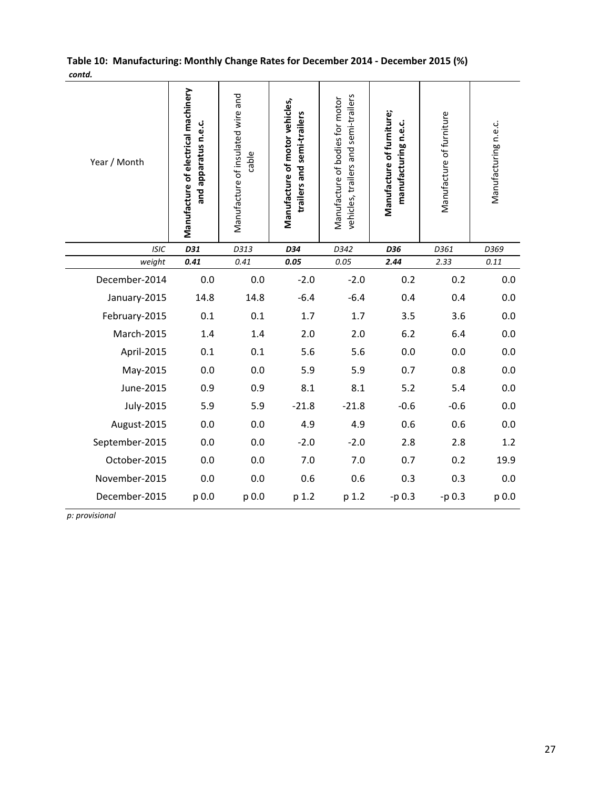|        | Table 10: Manufacturing: Monthly Change Rates for December 2014 - December 2015 (%) |  |
|--------|-------------------------------------------------------------------------------------|--|
| contd. |                                                                                     |  |

| contu.         |                                                             |                                            |                                                              |                                                                         |                                                   |                          |                      |
|----------------|-------------------------------------------------------------|--------------------------------------------|--------------------------------------------------------------|-------------------------------------------------------------------------|---------------------------------------------------|--------------------------|----------------------|
| Year / Month   | Manufacture of electrical machinery<br>and apparatus n.e.c. | Manufacture of insulated wire and<br>cable | Manufacture of motor vehicles,<br>trailers and semi-trailers | vehicles, trailers and semi-trailers<br>Manufacture of bodies for motor | Manufacture of furniture;<br>manufacturing n.e.c. | Manufacture of furniture | Manufacturing n.e.c. |
| <b>ISIC</b>    | D31                                                         | D313                                       | D34                                                          | D342                                                                    | D36                                               | D361                     | D369                 |
| weight         | 0.41                                                        | 0.41                                       | 0.05                                                         | 0.05                                                                    | 2.44                                              | 2.33                     | 0.11                 |
| December-2014  | 0.0                                                         | 0.0                                        | $-2.0$                                                       | $-2.0$                                                                  | 0.2                                               | 0.2                      | 0.0                  |
| January-2015   | 14.8                                                        | 14.8                                       | $-6.4$                                                       | $-6.4$                                                                  | 0.4                                               | 0.4                      | 0.0                  |
| February-2015  | 0.1                                                         | 0.1                                        | 1.7                                                          | 1.7                                                                     | 3.5                                               | 3.6                      | 0.0                  |
| March-2015     | 1.4                                                         | 1.4                                        | 2.0                                                          | 2.0                                                                     | 6.2                                               | 6.4                      | 0.0                  |
| April-2015     | 0.1                                                         | 0.1                                        | 5.6                                                          | 5.6                                                                     | 0.0                                               | 0.0                      | 0.0                  |
| May-2015       | 0.0                                                         | 0.0                                        | 5.9                                                          | 5.9                                                                     | 0.7                                               | 0.8                      | 0.0                  |
| June-2015      | 0.9                                                         | 0.9                                        | 8.1                                                          | 8.1                                                                     | 5.2                                               | 5.4                      | 0.0                  |
| July-2015      | 5.9                                                         | 5.9                                        | $-21.8$                                                      | $-21.8$                                                                 | $-0.6$                                            | $-0.6$                   | 0.0                  |
| August-2015    | 0.0                                                         | 0.0                                        | 4.9                                                          | 4.9                                                                     | 0.6                                               | 0.6                      | 0.0                  |
| September-2015 | 0.0                                                         | 0.0                                        | $-2.0$                                                       | $-2.0$                                                                  | 2.8                                               | 2.8                      | 1.2                  |
| October-2015   | 0.0                                                         | 0.0                                        | 7.0                                                          | 7.0                                                                     | 0.7                                               | 0.2                      | 19.9                 |
| November-2015  | 0.0                                                         | 0.0                                        | 0.6                                                          | 0.6                                                                     | 0.3                                               | 0.3                      | 0.0                  |
| December-2015  | p 0.0                                                       | p 0.0                                      | p 1.2                                                        | p 1.2                                                                   | $-p 0.3$                                          | -p 0.3                   | p 0.0                |
|                |                                                             |                                            |                                                              |                                                                         |                                                   |                          |                      |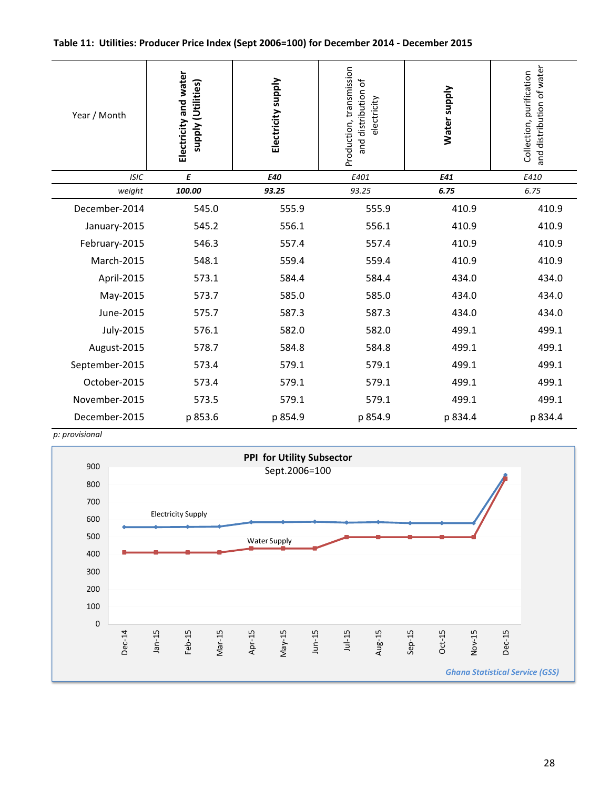#### Table 11: Utilities: Producer Price Index (Sept 2006=100) for December 2014 - December 2015

| Year / Month   | Electricity and water<br>supply (Utilities) | Electricity supply | Production, transmission<br>and distribution of<br>electricity | Water supply | and distribution of water<br>Collection, purification |
|----------------|---------------------------------------------|--------------------|----------------------------------------------------------------|--------------|-------------------------------------------------------|
| <b>ISIC</b>    | E                                           | E40                | E401                                                           | E41          | E410                                                  |
| weight         | 100.00                                      | 93.25              | 93.25                                                          | 6.75         | 6.75                                                  |
| December-2014  | 545.0                                       | 555.9              | 555.9                                                          | 410.9        | 410.9                                                 |
| January-2015   | 545.2                                       | 556.1              | 556.1                                                          | 410.9        | 410.9                                                 |
| February-2015  | 546.3                                       | 557.4              | 557.4                                                          | 410.9        | 410.9                                                 |
| March-2015     | 548.1                                       | 559.4              | 559.4                                                          | 410.9        | 410.9                                                 |
| April-2015     | 573.1                                       | 584.4              | 584.4                                                          | 434.0        | 434.0                                                 |
| May-2015       | 573.7                                       | 585.0              | 585.0                                                          | 434.0        | 434.0                                                 |
| June-2015      | 575.7                                       | 587.3              | 587.3                                                          | 434.0        | 434.0                                                 |
| July-2015      | 576.1                                       | 582.0              | 582.0                                                          | 499.1        | 499.1                                                 |
| August-2015    | 578.7                                       | 584.8              | 584.8                                                          | 499.1        | 499.1                                                 |
| September-2015 | 573.4                                       | 579.1              | 579.1                                                          | 499.1        | 499.1                                                 |
| October-2015   | 573.4                                       | 579.1              | 579.1                                                          | 499.1        | 499.1                                                 |
| November-2015  | 573.5                                       | 579.1              | 579.1                                                          | 499.1        | 499.1                                                 |
| December-2015  | p 853.6                                     | p 854.9            | p 854.9                                                        | p 834.4      | p 834.4                                               |

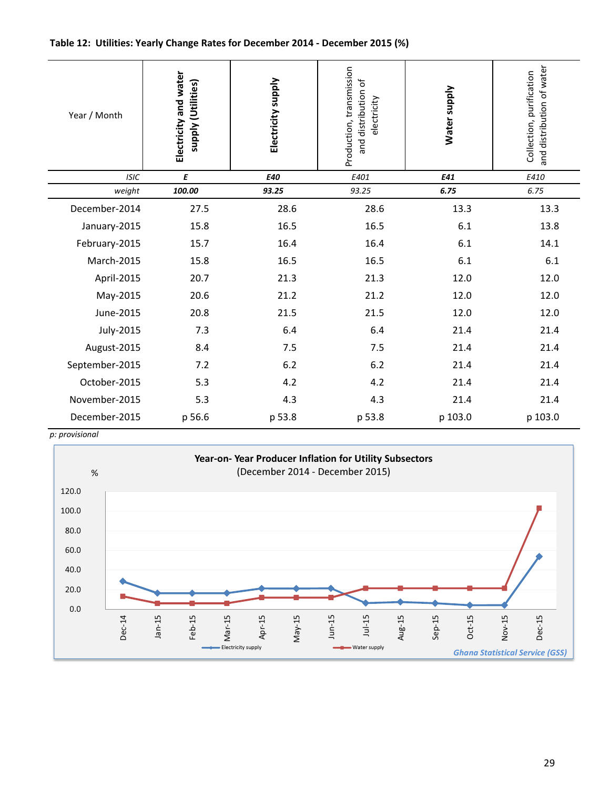#### Table 12: Utilities: Yearly Change Rates for December 2014 - December 2015 (%)

| Year / Month   | Electricity and water<br>supply (Utilities) | Electricity supply | Production, transmission<br>and distribution of<br>electricity | Water supply | and distribution of water<br>Collection, purification |
|----------------|---------------------------------------------|--------------------|----------------------------------------------------------------|--------------|-------------------------------------------------------|
| <b>ISIC</b>    | E                                           | E40                | E401                                                           | E41          | E410                                                  |
| weight         | 100.00                                      | 93.25              | 93.25                                                          | 6.75         | 6.75                                                  |
| December-2014  | 27.5                                        | 28.6               | 28.6                                                           | 13.3         | 13.3                                                  |
| January-2015   | 15.8                                        | 16.5               | 16.5                                                           | 6.1          | 13.8                                                  |
| February-2015  | 15.7                                        | 16.4               | 16.4                                                           | 6.1          | 14.1                                                  |
| March-2015     | 15.8                                        | 16.5               | 16.5                                                           | $6.1\,$      | 6.1                                                   |
| April-2015     | 20.7                                        | 21.3               | 21.3                                                           | 12.0         | 12.0                                                  |
| May-2015       | 20.6                                        | 21.2               | 21.2                                                           | 12.0         | 12.0                                                  |
| June-2015      | 20.8                                        | 21.5               | 21.5                                                           | 12.0         | 12.0                                                  |
| July-2015      | 7.3                                         | 6.4                | 6.4                                                            | 21.4         | 21.4                                                  |
| August-2015    | 8.4                                         | 7.5                | 7.5                                                            | 21.4         | 21.4                                                  |
| September-2015 | 7.2                                         | $6.2$              | 6.2                                                            | 21.4         | 21.4                                                  |
| October-2015   | 5.3                                         | 4.2                | 4.2                                                            | 21.4         | 21.4                                                  |
| November-2015  | 5.3                                         | 4.3                | 4.3                                                            | 21.4         | 21.4                                                  |
| December-2015  | p 56.6                                      | p 53.8             | p 53.8                                                         | p 103.0      | p 103.0                                               |